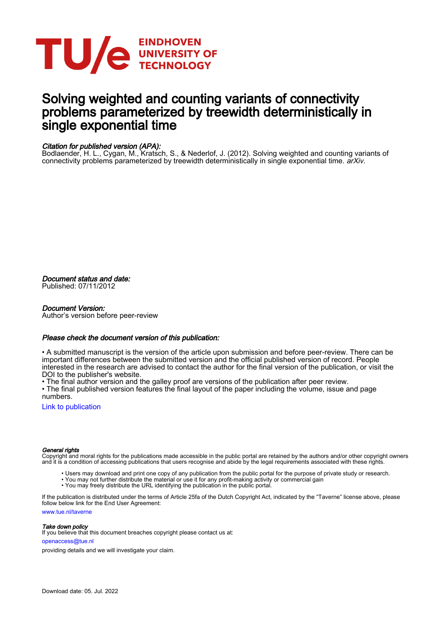

# Solving weighted and counting variants of connectivity problems parameterized by treewidth deterministically in single exponential time

#### Citation for published version (APA):

Bodlaender, H. L., Cygan, M., Kratsch, S., & Nederlof, J. (2012). Solving weighted and counting variants of connectivity problems parameterized by treewidth deterministically in single exponential time. arXiv.

Document status and date:

Published: 07/11/2012

#### Document Version:

Author's version before peer-review

#### Please check the document version of this publication:

• A submitted manuscript is the version of the article upon submission and before peer-review. There can be important differences between the submitted version and the official published version of record. People interested in the research are advised to contact the author for the final version of the publication, or visit the DOI to the publisher's website.

• The final author version and the galley proof are versions of the publication after peer review.

• The final published version features the final layout of the paper including the volume, issue and page numbers.

[Link to publication](https://research.tue.nl/en/publications/86dd8ea1-38c8-4b76-b859-9435aacd240b)

#### General rights

Copyright and moral rights for the publications made accessible in the public portal are retained by the authors and/or other copyright owners and it is a condition of accessing publications that users recognise and abide by the legal requirements associated with these rights.

- Users may download and print one copy of any publication from the public portal for the purpose of private study or research.
- You may not further distribute the material or use it for any profit-making activity or commercial gain
	- You may freely distribute the URL identifying the publication in the public portal.

If the publication is distributed under the terms of Article 25fa of the Dutch Copyright Act, indicated by the "Taverne" license above, please follow below link for the End User Agreement:

www.tue.nl/taverne

#### Take down policy

If you believe that this document breaches copyright please contact us at:

openaccess@tue.nl

providing details and we will investigate your claim.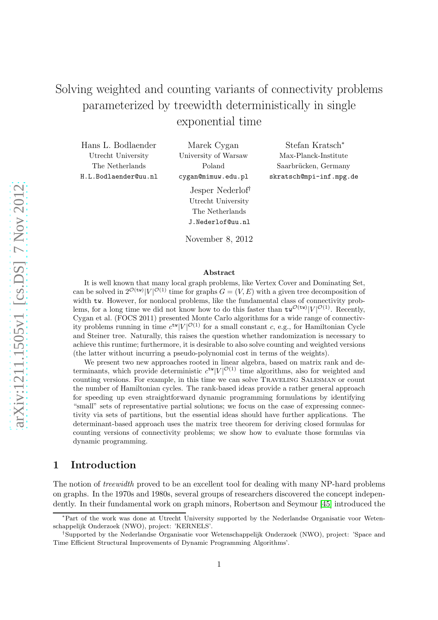# Solving weighted and counting variants of connectivity problems parameterized by treewidth deterministically in single exponential time

Hans L. Bodlaender Utrecht University The Netherlands H.L.Bodlaender@uu.nl

Marek Cygan University of Warsaw Poland cygan@mimuw.edu.pl

Stefan Kratsch<sup>∗</sup> Max-Planck-Institute Saarbrücken, Germany skratsch@mpi-inf.mpg.de

Jesper Nederlof† Utrecht University The Netherlands J.Nederlof@uu.nl

November 8, 2012

#### Abstract

It is well known that many local graph problems, like Vertex Cover and Dominating Set, can be solved in  $2^{\mathcal{O}(\text{tw})}|V|^{\mathcal{O}(1)}$  time for graphs  $G = (V, E)$  with a given tree decomposition of width tw. However, for nonlocal problems, like the fundamental class of connectivity problems, for a long time we did not know how to do this faster than  $\mathsf{tw}^{\mathcal{O}(\mathsf{tw})}|V|^{\mathcal{O}(1)}$ . Recently, Cygan et al. (FOCS 2011) presented Monte Carlo algorithms for a wide range of connectivity problems running in time  $c^{\text{tw}}|V|^{\mathcal{O}(1)}$  for a small constant c, e.g., for Hamiltonian Cycle and Steiner tree. Naturally, this raises the question whether randomization is necessary to achieve this runtime; furthermore, it is desirable to also solve counting and weighted versions (the latter without incurring a pseudo-polynomial cost in terms of the weights).

We present two new approaches rooted in linear algebra, based on matrix rank and determinants, which provide deterministic  $c^{\text{tw}}|V|^{\mathcal{O}(1)}$  time algorithms, also for weighted and counting versions. For example, in this time we can solve Traveling Salesman or count the number of Hamiltonian cycles. The rank-based ideas provide a rather general approach for speeding up even straightforward dynamic programming formulations by identifying "small" sets of representative partial solutions; we focus on the case of expressing connectivity via sets of partitions, but the essential ideas should have further applications. The determinant-based approach uses the matrix tree theorem for deriving closed formulas for counting versions of connectivity problems; we show how to evaluate those formulas via dynamic programming.

## 1 Introduction

The notion of *treewidth* proved to be an excellent tool for dealing with many NP-hard problems on graphs. In the 1970s and 1980s, several groups of researchers discovered the concept independently. In their fundamental work on graph minors, Robertson and Seymour [\[45\]](#page-32-0) introduced the

<sup>∗</sup>Part of the work was done at Utrecht University supported by the Nederlandse Organisatie voor Wetenschappelijk Onderzoek (NWO), project: 'KERNELS'.

<sup>†</sup>Supported by the Nederlandse Organisatie voor Wetenschappelijk Onderzoek (NWO), project: 'Space and Time Efficient Structural Improvements of Dynamic Programming Algorithms'.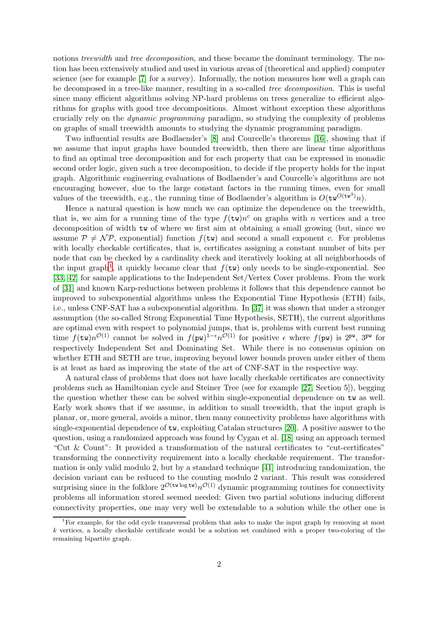notions *treewidth* and *tree decomposition*, and these became the dominant terminology. The notion has been extensively studied and used in various areas of (theoretical and applied) computer science (see for example [\[7\]](#page-30-0) for a survey). Informally, the notion measures how well a graph can be decomposed in a tree-like manner, resulting in a so-called tree decomposition. This is useful since many efficient algorithms solving NP-hard problems on trees generalize to efficient algorithms for graphs with good tree decompositions. Almost without exception these algorithms crucially rely on the dynamic programming paradigm, so studying the complexity of problems on graphs of small treewidth amounts to studying the dynamic programming paradigm.

Two influential results are Bodlaender's [\[8\]](#page-30-1) and Courcelle's theorems [\[16\]](#page-30-2), showing that if we assume that input graphs have bounded treewidth, then there are linear time algorithms to find an optimal tree decomposition and for each property that can be expressed in monadic second order logic, given such a tree decomposition, to decide if the property holds for the input graph. Algorithmic engineering evaluations of Bodlaender's and Courcelle's algorithms are not encouraging however, due to the large constant factors in the running times, even for small values of the treewidth, e.g., the running time of Bodlaender's algorithm is  $O(\text{tw}^{O(\text{tw}^3)} n)$ .

Hence a natural question is how much we can optimize the dependence on the treewidth, that is, we aim for a running time of the type  $f(\text{tw})n^c$  on graphs with n vertices and a tree decomposition of width tw of where we first aim at obtaining a small growing (but, since we assume  $P \neq \mathcal{NP}$ , exponential) function  $f(\mathsf{tw})$  and second a small exponent c. For problems with locally checkable certificates, that is, certificates assigning a constant number of bits per node that can be checked by a cardinality check and iteratively looking at all neighborhoods of the input graph<sup>[1](#page-2-0)</sup>, it quickly became clear that  $f(\mathsf{tw})$  only needs to be single-exponential. See [\[33,](#page-31-0) [42\]](#page-32-1) for sample applications to the Independent Set/Vertex Cover problems. From the work of [\[31\]](#page-31-1) and known Karp-reductions between problems it follows that this dependence cannot be improved to subexponential algorithms unless the Exponential Time Hypothesis (ETH) fails, i.e., unless CNF-SAT has a subexponential algorithm. In [\[37\]](#page-32-2) it was shown that under a stronger assumption (the so-called Strong Exponential Time Hypothesis, SETH), the current algorithms are optimal even with respect to polynomial jumps, that is, problems with current best running time  $f(\text{tw})n^{\mathcal{O}(1)}$  cannot be solved in  $f(pw)^{1-\epsilon}n^{\mathcal{O}(1)}$  for positive  $\epsilon$  where  $f(pw)$  is  $2^{pw}$ ,  $3^{pw}$  for respectively Independent Set and Dominating Set. While there is no consensus opinion on whether ETH and SETH are true, improving beyond lower bounds proven under either of them is at least as hard as improving the state of the art of CNF-SAT in the respective way.

A natural class of problems that does not have locally checkable certificates are connectivity problems such as Hamiltonian cycle and Steiner Tree (see for example [\[27,](#page-31-2) Section 5]), begging the question whether these can be solved within single-exponential dependence on tw as well. Early work shows that if we assume, in addition to small treewidth, that the input graph is planar, or, more general, avoids a minor, then many connectivity problems have algorithms with single-exponential dependence of tw, exploiting Catalan structures [\[20\]](#page-31-3). A positive answer to the question, using a randomized approach was found by Cygan et al. [\[18\]](#page-30-3) using an approach termed "Cut & Count": It provided a transformation of the natural certificates to "cut-certificates" transforming the connectivity requirement into a locally checkable requirement. The transformation is only valid modulo 2, but by a standard technique [\[41\]](#page-32-3) introducing randomization, the decision variant can be reduced to the counting modulo 2 variant. This result was considered surprising since in the folklore  $2^{\mathcal{O}(\text{tw} \log \text{tw})} n^{\mathcal{O}(1)}$  dynamic programming routines for connectivity problems all information stored seemed needed: Given two partial solutions inducing different connectivity properties, one may very well be extendable to a solution while the other one is

<span id="page-2-0"></span><sup>&</sup>lt;sup>1</sup>For example, for the odd cycle transversal problem that asks to make the input graph by removing at most k vertices, a locally checkable certificate would be a solution set combined with a proper two-coloring of the remaining bipartite graph.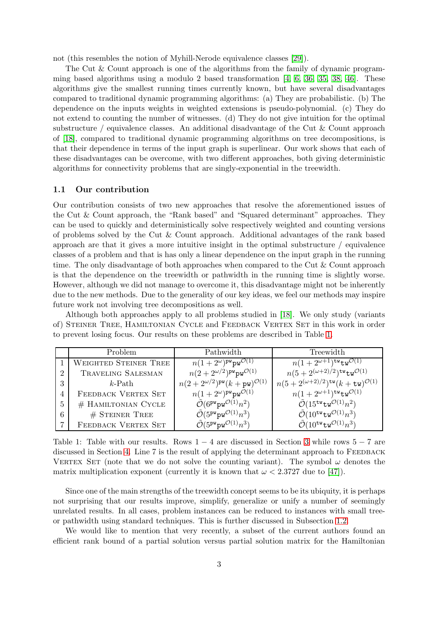not (this resembles the notion of Myhill-Nerode equivalence classes [\[29\]](#page-31-4)).

The Cut & Count approach is one of the algorithms from the family of dynamic programming based algorithms using a modulo 2 based transformation  $[4, 6, 36, 35, 38, 46]$  $[4, 6, 36, 35, 38, 46]$  $[4, 6, 36, 35, 38, 46]$  $[4, 6, 36, 35, 38, 46]$  $[4, 6, 36, 35, 38, 46]$  $[4, 6, 36, 35, 38, 46]$ . These algorithms give the smallest running times currently known, but have several disadvantages compared to traditional dynamic programming algorithms: (a) They are probabilistic. (b) The dependence on the inputs weights in weighted extensions is pseudo-polynomial. (c) They do not extend to counting the number of witnesses. (d) They do not give intuition for the optimal substructure / equivalence classes. An additional disadvantage of the Cut & Count approach of [\[18\]](#page-30-3), compared to traditional dynamic programming algorithms on tree decompositions, is that their dependence in terms of the input graph is superlinear. Our work shows that each of these disadvantages can be overcome, with two different approaches, both giving deterministic algorithms for connectivity problems that are singly-exponential in the treewidth.

#### 1.1 Our contribution

Our contribution consists of two new approaches that resolve the aforementioned issues of the Cut & Count approach, the "Rank based" and "Squared determinant" approaches. They can be used to quickly and deterministically solve respectively weighted and counting versions of problems solved by the Cut & Count approach. Additional advantages of the rank based approach are that it gives a more intuitive insight in the optimal substructure / equivalence classes of a problem and that is has only a linear dependence on the input graph in the running time. The only disadvantage of both approaches when compared to the Cut & Count approach is that the dependence on the treewidth or pathwidth in the running time is slightly worse. However, although we did not manage to overcome it, this disadvantage might not be inherently due to the new methods. Due to the generality of our key ideas, we feel our methods may inspire future work not involving tree decompositions as well.

Although both approaches apply to all problems studied in [\[18\]](#page-30-3). We only study (variants of) Steiner Tree, Hamiltonian Cycle and Feedback Vertex Set in this work in order to prevent losing focus. Our results on these problems are described in Table [1.](#page-3-0)

|                | Problem                      | Pathwidth                                                           | Treewidth                                                            |
|----------------|------------------------------|---------------------------------------------------------------------|----------------------------------------------------------------------|
|                | <b>WEIGHTED STEINER TREE</b> | $n(1+2^{\omega})^{\text{pw}}$ pw $\mathcal{O}(1)$                   | $n(1+2^{\omega+1})$ tw $\overline{\mathbf{w}^{\mathcal{O}(1)}}$      |
| $\overline{2}$ | <b>TRAVELING SALESMAN</b>    | $n(2+2^{\omega/2})^{\text{pw}}$ pw $\mathcal{O}(1)$                 | $n(5+2^{(\omega+2)/2})$ tw $\tt_{W}$ $\mathcal{O}(1)$                |
| 3              | $k$ -Path                    | $n(2+2^{\omega/2})^{\text{pw}}(k+\text{pw})^{\mathcal{O}(1)}$       | $n(5+2^{(\omega+2)/2})^{\text{tw}}(k+\text{tw})^{\mathcal{O}(1)}$    |
| $\overline{4}$ | FEEDBACK VERTEX SET          | $n(1+2^{\omega})^{\text{pw}}$ pw $\mathcal{O}(1)$                   | $n(1+2^{\omega+1})^{\text{tw}}$ tw $\mathcal{O}(1)$                  |
| 5              | # HAMILTONIAN CYCLE          | $\tilde{\mathcal{O}}(6^{pw}pw^{\mathcal{O}(1)}n^2)$                 | $\tilde{\mathcal{O}}(15^{\text{tw}} \text{tw}^{\mathcal{O}(1)} n^2)$ |
| 6              | $#$ STEINER TREE             | $\tilde{\mathcal{O}}(5^{\text{pw}} \text{pw}^{\mathcal{O}(1)} n^3)$ | $\tilde{\mathcal{O}}(10^{\text{tw}} \text{tw}^{\mathcal{O}(1)} n^3)$ |
|                | FEEDBACK VERTEX SET          | $\tilde{\mathcal{O}}(5^{\text{pw}}$ pw $\mathcal{O}(1)n^3)$         | $\tilde{\mathcal{O}}(10^{\text{tw}} \text{tw}^{\mathcal{O}(1)} n^3)$ |

<span id="page-3-0"></span>Table 1: Table with our results. Rows  $1 - 4$  are discussed in Section [3](#page-8-0) while rows  $5 - 7$  are discussed in Section [4.](#page-21-0) Line 7 is the result of applying the determinant approach to FEEDBACK VERTEX SET (note that we do not solve the counting variant). The symbol  $\omega$  denotes the matrix multiplication exponent (currently it is known that  $\omega < 2.3727$  due to [\[47\]](#page-32-7)).

Since one of the main strengths of the treewidth concept seems to be its ubiquity, it is perhaps not surprising that our results improve, simplify, generalize or unify a number of seemingly unrelated results. In all cases, problem instances can be reduced to instances with small treeor pathwidth using standard techniques. This is further discussed in Subsection [1.2.](#page-5-0)

We would like to mention that very recently, a subset of the current authors found an efficient rank bound of a partial solution versus partial solution matrix for the Hamiltonian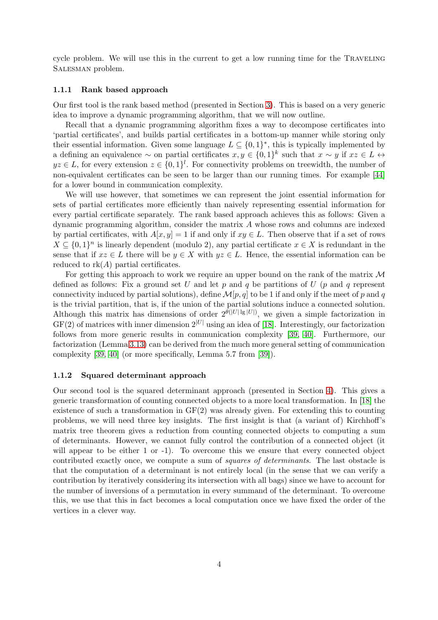cycle problem. We will use this in the current to get a low running time for the Traveling SALESMAN problem.

#### 1.1.1 Rank based approach

Our first tool is the rank based method (presented in Section [3\)](#page-8-0). This is based on a very generic idea to improve a dynamic programming algorithm, that we will now outline.

Recall that a dynamic programming algorithm fixes a way to decompose certificates into 'partial certificates', and builds partial certificates in a bottom-up manner while storing only their essential information. Given some language  $L \subseteq \{0,1\}^*$ , this is typically implemented by a defining an equivalence  $\sim$  on partial certificates  $x, y \in \{0, 1\}^k$  such that  $x \sim y$  if  $xz \in L \leftrightarrow$  $yz \in L$ , for every extension  $z \in \{0,1\}^l$ . For connectivity problems on treewidth, the number of non-equivalent certificates can be seen to be larger than our running times. For example [\[44\]](#page-32-8) for a lower bound in communication complexity.

We will use however, that sometimes we can represent the joint essential information for sets of partial certificates more efficiently than naively representing essential information for every partial certificate separately. The rank based approach achieves this as follows: Given a dynamic programming algorithm, consider the matrix A whose rows and columns are indexed by partial certificates, with  $A[x, y] = 1$  if and only if  $xy \in L$ . Then observe that if a set of rows  $X \subseteq \{0,1\}^n$  is linearly dependent (modulo 2), any partial certificate  $x \in X$  is redundant in the sense that if  $xz \in L$  there will be  $y \in X$  with  $yz \in L$ . Hence, the essential information can be reduced to  $rk(A)$  partial certificates.

For getting this approach to work we require an upper bound on the rank of the matrix  $\mathcal M$ defined as follows: Fix a ground set U and let p and q be partitions of U (p and q represent connectivity induced by partial solutions), define  $\mathcal{M}[p,q]$  to be 1 if and only if the meet of p and q is the trivial partition, that is, if the union of the partial solutions induce a connected solution. Although this matrix has dimensions of order  $2^{\theta(|U|\lg|U|)}$ , we given a simple factorization in  $GF(2)$  of matrices with inner dimension  $2^{|U|}$  using an idea of [\[18\]](#page-30-3). Interestingly, our factorization follows from more generic results in communication complexity [\[39,](#page-32-9) [40\]](#page-32-10). Furthermore, our factorization (Lemma [3.13\)](#page-19-0) can be derived from the much more general setting of communication complexity [\[39,](#page-32-9) [40\]](#page-32-10) (or more specifically, Lemma 5.7 from [\[39\]](#page-32-9)).

#### 1.1.2 Squared determinant approach

Our second tool is the squared determinant approach (presented in Section [4\)](#page-21-0). This gives a generic transformation of counting connected objects to a more local transformation. In [\[18\]](#page-30-3) the existence of such a transformation in  $GF(2)$  was already given. For extending this to counting problems, we will need three key insights. The first insight is that (a variant of) Kirchhoff's matrix tree theorem gives a reduction from counting connected objects to computing a sum of determinants. However, we cannot fully control the contribution of a connected object (it will appear to be either 1 or -1). To overcome this we ensure that every connected object contributed exactly once, we compute a sum of squares of determinants. The last obstacle is that the computation of a determinant is not entirely local (in the sense that we can verify a contribution by iteratively considering its intersection with all bags) since we have to account for the number of inversions of a permutation in every summand of the determinant. To overcome this, we use that this in fact becomes a local computation once we have fixed the order of the vertices in a clever way.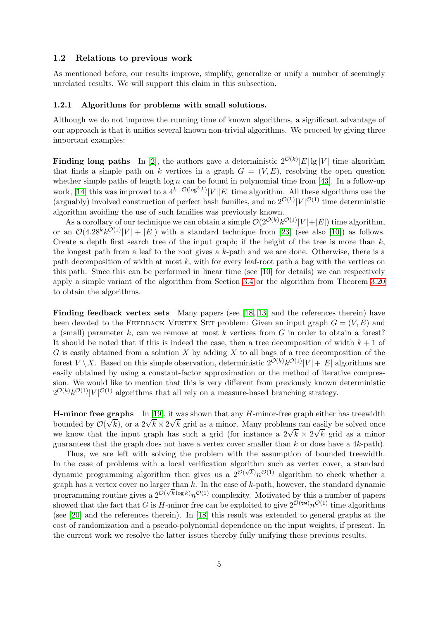#### <span id="page-5-0"></span>1.2 Relations to previous work

As mentioned before, our results improve, simplify, generalize or unify a number of seemingly unrelated results. We will support this claim in this subsection.

#### 1.2.1 Algorithms for problems with small solutions.

Although we do not improve the running time of known algorithms, a significant advantage of our approach is that it unifies several known non-trivial algorithms. We proceed by giving three important examples:

**Finding long paths** In [\[2\]](#page-30-6), the authors gave a deterministic  $2^{\mathcal{O}(k)}|E|\lg|V|$  time algorithm that finds a simple path on k vertices in a graph  $G = (V, E)$ , resolving the open question whether simple paths of length  $\log n$  can be found in polynomial time from [\[43\]](#page-32-11). In a follow-up work, [\[14\]](#page-30-7) this was improved to a  $4^{k+\mathcal{O}(\log^3 k)}|V||E|$  time algorithm. All these algorithms use the (arguably) involved construction of perfect hash families, and no  $2^{\mathcal{O}(k)}|V|^{\mathcal{O}(1)}$  time deterministic algorithm avoiding the use of such families was previously known.

As a corollary of our technique we can obtain a simple  $\mathcal{O}(2^{\mathcal{O}(k)}k^{\mathcal{O}(1)}|V|+|E|)$  time algorithm, or an  $\mathcal{O}(4.28^k k^{\mathcal{O}(1)}|V| + |E|)$  with a standard technique from [\[23\]](#page-31-6) (see also [\[10\]](#page-30-8)) as follows. Create a depth first search tree of the input graph; if the height of the tree is more than  $k$ , the longest path from a leaf to the root gives a  $k$ -path and we are done. Otherwise, there is a path decomposition of width at most  $k$ , with for every leaf-root path a bag with the vertices on this path. Since this can be performed in linear time (see [\[10\]](#page-30-8) for details) we can respectively apply a simple variant of the algorithm from Section [3.4](#page-13-0) or the algorithm from Theorem [3.20](#page-21-1) to obtain the algorithms.

Finding feedback vertex sets Many papers (see [\[18,](#page-30-3) [13\]](#page-30-9) and the references therein) have been devoted to the FEEDBACK VERTEX SET problem: Given an input graph  $G = (V, E)$  and a (small) parameter  $k$ , can we remove at most  $k$  vertices from  $G$  in order to obtain a forest? It should be noted that if this is indeed the case, then a tree decomposition of width  $k + 1$  of G is easily obtained from a solution X by adding X to all bags of a tree decomposition of the forest  $V \setminus X$ . Based on this simple observation, deterministic  $2^{\mathcal{O}(k)} k^{\mathcal{O}(1)} |V| + |E|$  algorithms are easily obtained by using a constant-factor approximation or the method of iterative compression. We would like to mention that this is very different from previously known deterministic  $2^{\mathcal{O}(k)}k^{\mathcal{O}(1)}|V|^{\mathcal{O}(1)}$  algorithms that all rely on a measure-based branching strategy.

**H-minor free graphs** In [\[19\]](#page-31-7), it was shown that any  $H$ -minor-free graph either has treewidth bounded by  $\mathcal{O}(\sqrt{k})$ , or a  $2\sqrt{k} \times 2\sqrt{k}$  grid as a minor. Many problems can easily be solved once we know that the input graph has such a grid (for instance a  $2\sqrt{k} \times 2\sqrt{k}$  grid as a minor guarantees that the graph does not have a vertex cover smaller than  $k$  or does have a  $4k$ -path).

Thus, we are left with solving the problem with the assumption of bounded treewidth. In the case of problems with a local verification algorithm such as vertex cover, a standard dynamic programming algorithm then gives us a  $2^{\mathcal{O}(\sqrt{k})}n^{\mathcal{O}(1)}$  algorithm to check whether a graph has a vertex cover no larger than  $k$ . In the case of  $k$ -path, however, the standard dynamic programming routine gives a  $2^{\mathcal{O}(\sqrt{k}\log k)}n^{\mathcal{O}(1)}$  complexity. Motivated by this a number of papers showed that the fact that G is H-minor free can be exploited to give  $2^{\mathcal{O}(\text{tw})}n^{\mathcal{O}(1)}$  time algorithms (see [\[20\]](#page-31-3) and the references therein). In [\[18\]](#page-30-3) this result was extended to general graphs at the cost of randomization and a pseudo-polynomial dependence on the input weights, if present. In the current work we resolve the latter issues thereby fully unifying these previous results.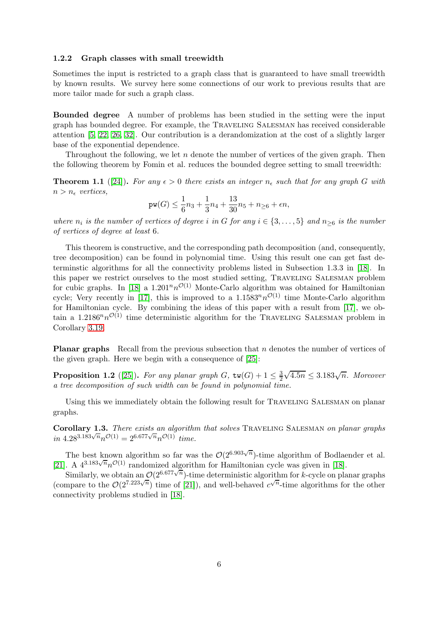#### 1.2.2 Graph classes with small treewidth

Sometimes the input is restricted to a graph class that is guaranteed to have small treewidth by known results. We survey here some connections of our work to previous results that are more tailor made for such a graph class.

Bounded degree A number of problems has been studied in the setting were the input graph has bounded degree. For example, the Traveling Salesman has received considerable attention [\[5,](#page-30-10) [22,](#page-31-8) [26,](#page-31-9) [32\]](#page-31-10). Our contribution is a derandomization at the cost of a slightly larger base of the exponential dependence.

<span id="page-6-0"></span>Throughout the following, we let  $n$  denote the number of vertices of the given graph. Then the following theorem by Fomin et al. reduces the bounded degree setting to small treewidth:

**Theorem 1.1** ([\[24\]](#page-31-11)). For any  $\epsilon > 0$  there exists an integer  $n_{\epsilon}$  such that for any graph G with  $n > n_{\epsilon}$  vertices,

$$
\mathsf{pw}(G) \le \frac{1}{6}n_3 + \frac{1}{3}n_4 + \frac{13}{30}n_5 + n_{\ge 6} + \epsilon n,
$$

where  $n_i$  is the number of vertices of degree i in G for any  $i \in \{3, \ldots, 5\}$  and  $n_{\geq 6}$  is the number of vertices of degree at least 6.

This theorem is constructive, and the corresponding path decomposition (and, consequently, tree decomposition) can be found in polynomial time. Using this result one can get fast determinstic algorithms for all the connectivity problems listed in Subsection 1.3.3 in [\[18\]](#page-30-3). In this paper we restrict ourselves to the most studied setting, TRAVELING SALESMAN problem for cubic graphs. In [\[18\]](#page-30-3) a  $1.201^n n^{\mathcal{O}(1)}$  Monte-Carlo algorithm was obtained for Hamiltonian cycle; Very recently in [\[17\]](#page-30-11), this is improved to a  $1.1583^n n^{\mathcal{O}(1)}$  time Monte-Carlo algorithm for Hamiltonian cycle. By combining the ideas of this paper with a result from [\[17\]](#page-30-11), we obtain a 1.2186<sup>n</sup> $n^{\mathcal{O}(1)}$  time deterministic algorithm for the TRAVELING SALESMAN problem in Corollary [3.19.](#page-21-2)

**Planar graphs** Recall from the previous subsection that  $n$  denotes the number of vertices of the given graph. Here we begin with a consequence of [\[25\]](#page-31-12):

**Proposition 1.2** ([\[25\]](#page-31-12)). For any planar graph  $G$ ,  $tw(G) + 1 \leq \frac{3}{2}$  $\sqrt{4.5n} \leq 3.183\sqrt{n}$ . Moreover a tree decomposition of such width can be found in polynomial time.

Using this we immediately obtain the following result for TRAVELING SALESMAN on planar graphs.

Corollary 1.3. There exists an algorithm that solves TRAVELING SALESMAN on planar graphs  $in \ 4.28^{3.183\sqrt{n}} n^{\mathcal{O}(1)} = 2^{6.677\sqrt{n}} n^{\mathcal{O}(1)} \ time.$ 

The best known algorithm so far was the  $\mathcal{O}(2^{6.903\sqrt{n}})$ -time algorithm of Bodlaender et al. [\[21\]](#page-31-13). A  $4^{3.183\sqrt{n}}n^{\mathcal{O}(1)}$  randomized algorithm for Hamiltonian cycle was given in [\[18\]](#page-30-3).

Similarly, we obtain an  $\mathcal{O}(2^{6.677\sqrt{n}})$ -time deterministic algorithm for k-cycle on planar graphs (compare to the  $\mathcal{O}(2^{7.223\sqrt{n}})$  time of [\[21\]](#page-31-13)), and well-behaved  $c^{\sqrt{n}}$ -time algorithms for the other connectivity problems studied in [\[18\]](#page-30-3).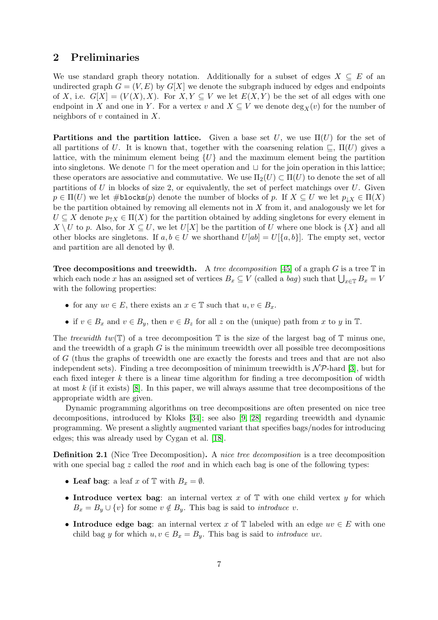### <span id="page-7-0"></span>2 Preliminaries

We use standard graph theory notation. Additionally for a subset of edges  $X \subseteq E$  of an undirected graph  $G = (V, E)$  by  $G[X]$  we denote the subgraph induced by edges and endpoints of X, i.e.  $G[X] = (V(X), X)$ . For  $X, Y \subseteq V$  we let  $E(X, Y)$  be the set of all edges with one endpoint in X and one in Y. For a vertex v and  $X \subseteq V$  we denote  $\deg_X(v)$  for the number of neighbors of  $v$  contained in  $X$ .

**Partitions and the partition lattice.** Given a base set U, we use  $\Pi(U)$  for the set of all partitions of U. It is known that, together with the coarsening relation  $\subseteq$ ,  $\Pi(U)$  gives a lattice, with the minimum element being  $\{U\}$  and the maximum element being the partition into singletons. We denote ⊓ for the meet operation and ⊔ for the join operation in this lattice; these operators are associative and commutative. We use  $\Pi_2(U) \subset \Pi(U)$  to denote the set of all partitions of U in blocks of size 2, or equivalently, the set of perfect matchings over  $U$ . Given  $p \in \Pi(U)$  we let  $\#\text{blocks}(p)$  denote the number of blocks of p. If  $X \subseteq U$  we let  $p_{\downarrow X} \in \Pi(X)$ be the partition obtained by removing all elements not in  $X$  from it, and analogously we let for  $U \subseteq X$  denote  $p_{\uparrow}$   $\in \Pi(X)$  for the partition obtained by adding singletons for every element in  $X \setminus U$  to p. Also, for  $X \subseteq U$ , we let  $U[X]$  be the partition of U where one block is  $\{X\}$  and all other blocks are singletons. If  $a, b \in U$  we shorthand  $U[ab] = U[\{a, b\}]$ . The empty set, vector and partition are all denoted by ∅.

Tree decompositions and treewidth. A tree decomposition [\[45\]](#page-32-0) of a graph G is a tree  $\mathbb T$  in which each node x has an assigned set of vertices  $B_x \subseteq V$  (called a bag) such that  $\bigcup_{x \in \mathbb{T}} B_x = V$ with the following properties:

- for any  $uv \in E$ , there exists an  $x \in \mathbb{T}$  such that  $u, v \in B_x$ .
- if  $v \in B_x$  and  $v \in B_y$ , then  $v \in B_z$  for all z on the (unique) path from x to y in T.

The treewidth tw(T) of a tree decomposition T is the size of the largest bag of T minus one, and the treewidth of a graph  $G$  is the minimum treewidth over all possible tree decompositions of G (thus the graphs of treewidth one are exactly the forests and trees and that are not also independent sets). Finding a tree decomposition of minimum treewidth is  $\mathcal{NP}$ -hard [\[3\]](#page-30-12), but for each fixed integer k there is a linear time algorithm for finding a tree decomposition of width at most k (if it exists) [\[8\]](#page-30-1). In this paper, we will always assume that tree decompositions of the appropriate width are given.

Dynamic programming algorithms on tree decompositions are often presented on nice tree decompositions, introduced by Kloks [\[34\]](#page-31-14); see also [\[9,](#page-30-13) [28\]](#page-31-15) regarding treewidth and dynamic programming. We present a slightly augmented variant that specifies bags/nodes for introducing edges; this was already used by Cygan et al. [\[18\]](#page-30-3).

Definition 2.1 (Nice Tree Decomposition). A nice tree decomposition is a tree decomposition with one special bag  $z$  called the root and in which each bag is one of the following types:

- Leaf bag: a leaf x of  $\mathbb T$  with  $B_x = \emptyset$ .
- Introduce vertex bag: an internal vertex x of  $\mathbb T$  with one child vertex y for which  $B_x = B_y \cup \{v\}$  for some  $v \notin B_y$ . This bag is said to *introduce v*.
- Introduce edge bag: an internal vertex x of  $\mathbb T$  labeled with an edge  $uv \in E$  with one child bag y for which  $u, v \in B_x = B_y$ . This bag is said to *introduce uv*.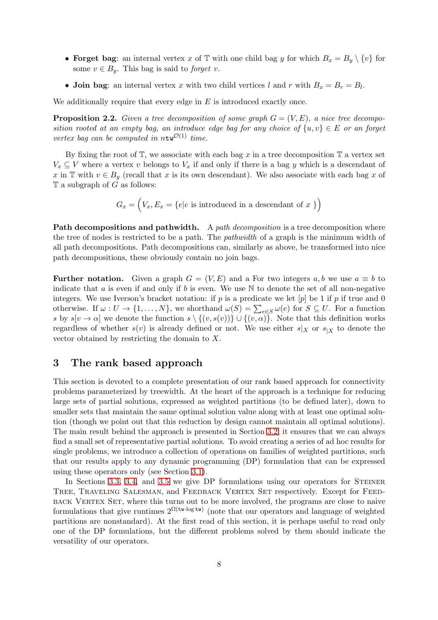- Forget bag: an internal vertex x of  $\mathbb T$  with one child bag y for which  $B_x = B_y \setminus \{v\}$  for some  $v \in B_y$ . This bag is said to *forget v*.
- Join bag: an internal vertex x with two child vertices l and r with  $B_x = B_r = B_l$ .

<span id="page-8-1"></span>We additionally require that every edge in  $E$  is introduced exactly once.

**Proposition 2.2.** Given a tree decomposition of some graph  $G = (V, E)$ , a nice tree decomposition rooted at an empty bag, an introduce edge bag for any choice of  $\{u, v\} \in E$  or an forget vertex bag can be computed in  $n \text{tw}^{\mathcal{O}(1)}$  time.

By fixing the root of  $\mathbb{T}$ , we associate with each bag x in a tree decomposition  $\mathbb{T}$  a vertex set  $V_x \subseteq V$  where a vertex v belongs to  $V_x$  if and only if there is a bag y which is a descendant of x in T with  $v \in B_n$  (recall that x is its own descendant). We also associate with each bag x of  $\mathbb T$  a subgraph of G as follows:

 $G_x = \langle V_x, E_x = \{e | e \text{ is introduced in a descendant of } x \rangle\}$ 

Path decompositions and pathwidth. A path decomposition is a tree decomposition where the tree of nodes is restricted to be a path. The pathwidth of a graph is the minimum width of all path decompositions. Path decompositions can, similarly as above, be transformed into nice path decompositions, these obviously contain no join bags.

**Further notation.** Given a graph  $G = (V, E)$  and a For two integers a, b we use  $a \equiv b$  to indicate that  $a$  is even if and only if  $b$  is even. We use  $\mathbb N$  to denote the set of all non-negative integers. We use Iverson's bracket notation: if p is a predicate we let  $[p]$  be 1 if p if true and 0 otherwise. If  $\omega: U \to \{1, \ldots, N\}$ , we shorthand  $\omega(S) = \sum_{e \in S} \omega(e)$  for  $S \subseteq U$ . For a function s by  $s[v \to \alpha]$  we denote the function  $s \setminus \{(v, s(v))\} \cup \{(v, \alpha)\}\)$ . Note that this definition works regardless of whether  $s(v)$  is already defined or not. We use either  $s|_X$  or  $s|_X$  to denote the vector obtained by restricting the domain to X.

### <span id="page-8-0"></span>3 The rank based approach

This section is devoted to a complete presentation of our rank based approach for connectivity problems parameterized by treewidth. At the heart of the approach is a technique for reducing large sets of partial solutions, expressed as weighted partitions (to be defined later), down to smaller sets that maintain the same optimal solution value along with at least one optimal solution (though we point out that this reduction by design cannot maintain all optimal solutions). The main result behind the approach is presented in Section [3.2;](#page-10-0) it ensures that we can always find a small set of representative partial solutions. To avoid creating a series of ad hoc results for single problems, we introduce a collection of operations on families of weighted partitions, such that our results apply to any dynamic programming (DP) formulation that can be expressed using these operators only (see Section [3.1\)](#page-9-0).

In Sections [3.3,](#page-11-0) [3.4,](#page-13-0) and [3.5](#page-15-0) we give DP formulations using our operators for STEINER TREE, TRAVELING SALESMAN, and FEEDBACK VERTEX SET respectively. Except for FEEDback Vertex Set, where this turns out to be more involved, the programs are close to naive formulations that give runtimes  $2^{\Omega(\text{tw-log tw})}$  (note that our operators and language of weighted partitions are nonstandard). At the first read of this section, it is perhaps useful to read only one of the DP formulations, but the different problems solved by them should indicate the versatility of our operators.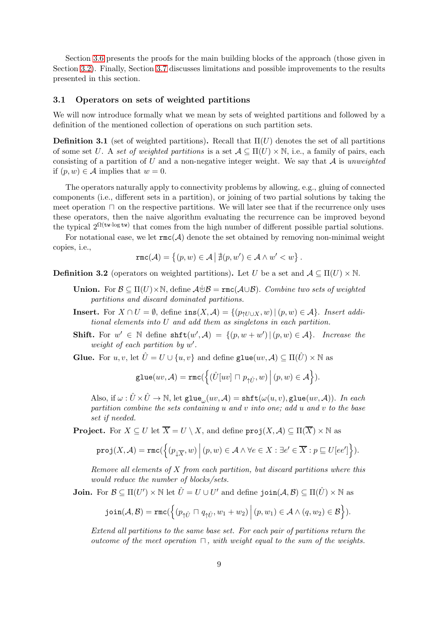Section [3.6](#page-18-0) presents the proofs for the main building blocks of the approach (those given in Section [3.2\)](#page-10-0). Finally, Section [3.7](#page-20-0) discusses limitations and possible improvements to the results presented in this section.

#### <span id="page-9-0"></span>3.1 Operators on sets of weighted partitions

We will now introduce formally what we mean by sets of weighted partitions and followed by a definition of the mentioned collection of operations on such partition sets.

**Definition 3.1** (set of weighted partitions). Recall that  $\Pi(U)$  denotes the set of all partitions of some set U. A set of weighted partitions is a set  $A \subseteq \Pi(U) \times \mathbb{N}$ , i.e., a family of pairs, each consisting of a partition of U and a non-negative integer weight. We say that  $A$  is unweighted if  $(p, w) \in \mathcal{A}$  implies that  $w = 0$ .

The operators naturally apply to connectivity problems by allowing, e.g., gluing of connected components (i.e., different sets in a partition), or joining of two partial solutions by taking the meet operation ⊓ on the respective partitions. We will later see that if the recurrence only uses these operators, then the naive algorithm evaluating the recurrence can be improved beyond the typical  $2^{\Omega(\text{tw-log tw})}$  that comes from the high number of different possible partial solutions.

For notational ease, we let  $rmc}(\mathcal{A})$  denote the set obtained by removing non-minimal weight copies, i.e.,

$$
rmc}(\mathcal{A}) = \{(p, w) \in \mathcal{A} \mid \nexists (p, w') \in \mathcal{A} \land w' < w\}.
$$

<span id="page-9-1"></span>**Definition 3.2** (operators on weighted partitions). Let U be a set and  $\mathcal{A} \subseteq \Pi(U) \times \mathbb{N}$ .

- **Union.** For  $\mathcal{B} \subseteq \Pi(U) \times \mathbb{N}$ , define  $\mathcal{A} \oplus \mathcal{B} = \text{rmc}(\mathcal{A} \cup \mathcal{B})$ . Combine two sets of weighted partitions and discard dominated partitions.
- **Insert.** For  $X \cap U = \emptyset$ , define  $\text{ins}(X, \mathcal{A}) = \{ (p_{\uparrow U \cup X}, w) | (p, w) \in \mathcal{A} \}$ . Insert additional elements into U and add them as singletons in each partition.
- **Shift.** For  $w' \in \mathbb{N}$  define  $\text{shft}(w', \mathcal{A}) = \{(p, w + w') | (p, w) \in \mathcal{A}\}.$  Increase the weight of each partition by  $w'$ .

**Glue.** For u, v, let  $\hat{U} = U \cup \{u, v\}$  and define glue $(uv, \mathcal{A}) \subseteq \Pi(\hat{U}) \times \mathbb{N}$  as

$$
\texttt{glue}(uv,\mathcal{A}) = \texttt{rmc}\left( \left\{ (\hat{U}[uv] \sqcap p_{\uparrow \hat{U}}, w) \, \middle| \, (p, w) \in \mathcal{A} \right\} \right).
$$

Also, if  $\omega: \hat{U} \times \hat{U} \to \mathbb{N}$ , let  $\texttt{glue}_{\omega}(uv, \mathcal{A}) = \texttt{shft}(\omega(u, v), \texttt{glue}(uv, \mathcal{A}))$ . In each partition combine the sets containing u and v into one; add u and v to the base set if needed.

**Project.** For  $X \subseteq U$  let  $\overline{X} = U \setminus X$ , and define  $\text{proj}(X, \mathcal{A}) \subseteq \Pi(\overline{X}) \times \mathbb{N}$  as

$$
\text{proj}(X, \mathcal{A}) = \text{rmc}(\Big\{ (p_{\downarrow \overline{X}}, w) \ \Big| \ (p, w) \in \mathcal{A} \ \wedge \ \forall e \in X: \exists e' \in \overline{X}: p \sqsubseteq U[ee'] \Big\}).
$$

Remove all elements of X from each partition, but discard partitions where this would reduce the number of blocks/sets.

**Join.** For  $\mathcal{B} \subseteq \Pi(U') \times \mathbb{N}$  let  $\hat{U} = U \cup U'$  and define  $\texttt{join}(\mathcal{A}, \mathcal{B}) \subseteq \Pi(\hat{U}) \times \mathbb{N}$  as

$$
\texttt{join}(\mathcal{A}, \mathcal{B}) = \texttt{rmc}(\left\{ (p_{\uparrow \hat{U}} \sqcap q_{\uparrow \hat{U}}, w_1 + w_2) \, \middle| \, (p, w_1) \in \mathcal{A} \land (q, w_2) \in \mathcal{B} \right\}).
$$

Extend all partitions to the same base set. For each pair of partitions return the outcome of the meet operation  $□$ , with weight equal to the sum of the weights.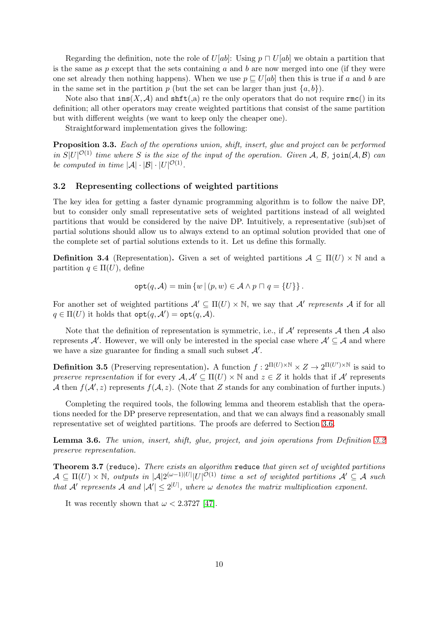Regarding the definition, note the role of  $U[ab]$ : Using  $p \sqcap U[ab]$  we obtain a partition that is the same as  $p$  except that the sets containing  $a$  and  $b$  are now merged into one (if they were one set already then nothing happens). When we use  $p \sqsubseteq U[ab]$  then this is true if a and b are in the same set in the partition p (but the set can be larger than just  $\{a, b\}$ ).

Note also that  $\text{ins}(X, \mathcal{A})$  and  $\text{snft}(\mathcal{A})$  re the only operators that do not require rmc() in its definition; all other operators may create weighted partitions that consist of the same partition but with different weights (we want to keep only the cheaper one).

<span id="page-10-3"></span>Straightforward implementation gives the following:

Proposition 3.3. Each of the operations union, shift, insert, glue and project can be performed in  $S|U|^{\mathcal{O}(1)}$  time where S is the size of the input of the operation. Given A, B, join(A,B) can be computed in time  $|\mathcal{A}| \cdot |\mathcal{B}| \cdot |U|^{\mathcal{O}(1)}$ .

#### <span id="page-10-0"></span>3.2 Representing collections of weighted partitions

The key idea for getting a faster dynamic programming algorithm is to follow the naive DP, but to consider only small representative sets of weighted partitions instead of all weighted partitions that would be considered by the naive DP. Intuitively, a representative (sub)set of partial solutions should allow us to always extend to an optimal solution provided that one of the complete set of partial solutions extends to it. Let us define this formally.

**Definition 3.4** (Representation). Given a set of weighted partitions  $A \subseteq \Pi(U) \times \mathbb{N}$  and a partition  $q \in \Pi(U)$ , define

$$
\operatorname{opt}(q,\mathcal{A}) = \min \left\{ w \, | \, (p,w) \in \mathcal{A} \land p \sqcap q = \{U\} \right\}.
$$

For another set of weighted partitions  $\mathcal{A}' \subseteq \Pi(U) \times \mathbb{N}$ , we say that  $\mathcal{A}'$  represents  $\mathcal{A}$  if for all  $q \in \Pi(U)$  it holds that  $\text{opt}(q, \mathcal{A}') = \text{opt}(q, \mathcal{A}).$ 

Note that the definition of representation is symmetric, i.e., if  $\mathcal{A}'$  represents  $\mathcal{A}$  then  $\mathcal{A}$  also represents A'. However, we will only be interested in the special case where  $A' \subseteq A$  and where we have a size guarantee for finding a small such subset  $\mathcal{A}'$ .

**Definition 3.5** (Preserving representation). A function  $f : 2^{\Pi(U) \times \mathbb{N}} \times Z \to 2^{\Pi(U') \times \mathbb{N}}$  is said to preserve representation if for every  $A, A' \subseteq \Pi(U) \times \mathbb{N}$  and  $z \in Z$  it holds that if  $A'$  represents A then  $f(A', z)$  represents  $f(A, z)$ . (Note that Z stands for any combination of further inputs.)

Completing the required tools, the following lemma and theorem establish that the operations needed for the DP preserve representation, and that we can always find a reasonably small representative set of weighted partitions. The proofs are deferred to Section [3.6.](#page-18-0)

<span id="page-10-2"></span>Lemma 3.6. The union, insert, shift, glue, project, and join operations from Definition [3.2](#page-9-1) preserve representation.

<span id="page-10-1"></span>Theorem 3.7 (reduce). There exists an algorithm reduce that given set of weighted partitions  $\mathcal{A} \subseteq \Pi(U) \times \mathbb{N}$ , outputs in  $|\mathcal{A}|2^{(\omega-1)|U|} |U|^{\mathcal{O}(1)}$  time a set of weighted partitions  $\mathcal{A}' \subseteq \mathcal{A}$  such that A' represents A and  $|\mathcal{A}'| \leq 2^{|U|}$ , where  $\omega$  denotes the matrix multiplication exponent.

It was recently shown that  $\omega < 2.3727$  [\[47\]](#page-32-7).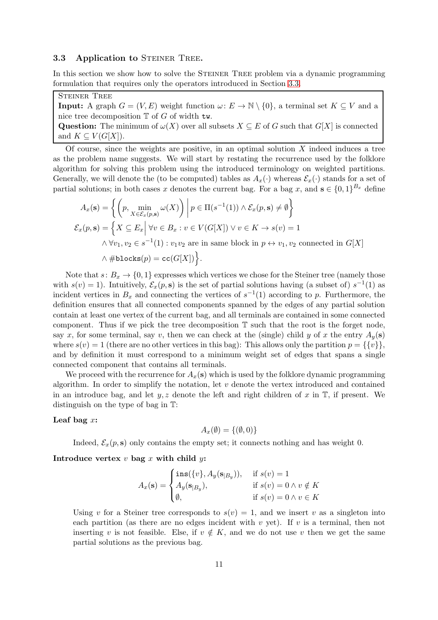#### <span id="page-11-0"></span>3.3 Application to STEINER TREE.

In this section we show how to solve the STEINER TREE problem via a dynamic programming formulation that requires only the operators introduced in Section [3.3.](#page-11-0)

Steiner Tree **Input:** A graph  $G = (V, E)$  weight function  $\omega: E \to \mathbb{N} \setminus \{0\}$ , a terminal set  $K \subseteq V$  and a nice tree decomposition  $\mathbb T$  of  $G$  of width tw. Question: The minimum of  $\omega(X)$  over all subsets  $X \subseteq E$  of G such that  $G[X]$  is connected

and  $K \subseteq V(G[X]).$ 

Of course, since the weights are positive, in an optimal solution  $X$  indeed induces a tree as the problem name suggests. We will start by restating the recurrence used by the folklore algorithm for solving this problem using the introduced terminology on weighted partitions. Generally, we will denote the (to be computed) tables as  $A_x(\cdot)$  whereas  $\mathcal{E}_x(\cdot)$  stands for a set of partial solutions; in both cases x denotes the current bag. For a bag x, and  $s \in \{0, 1\}^{B_x}$  define

$$
A_x(\mathbf{s}) = \left\{ \left( p, \min_{X \in \mathcal{E}_x(p, \mathbf{s})} \omega(X) \right) \middle| p \in \Pi(s^{-1}(1)) \land \mathcal{E}_x(p, \mathbf{s}) \neq \emptyset \right\}
$$
  

$$
\mathcal{E}_x(p, \mathbf{s}) = \left\{ X \subseteq E_x \middle| \forall v \in B_x : v \in V(G[X]) \lor v \in K \to s(v) = 1
$$
  

$$
\land \forall v_1, v_2 \in s^{-1}(1) : v_1v_2 \text{ are in same block in } p \leftrightarrow v_1, v_2 \text{ connected in } G[X] \land \# \text{blocks}(p) = \text{cc}(G[X]) \right\}.
$$

Note that  $s: B_x \to \{0, 1\}$  expresses which vertices we chose for the Steiner tree (namely those with  $s(v) = 1$ ). Intuitively,  $\mathcal{E}_x(p, s)$  is the set of partial solutions having (a subset of)  $s^{-1}(1)$  as incident vertices in  $B_x$  and connecting the vertices of  $s^{-1}(1)$  according to p. Furthermore, the definition ensures that all connected components spanned by the edges of any partial solution contain at least one vertex of the current bag, and all terminals are contained in some connected component. Thus if we pick the tree decomposition T such that the root is the forget node, say x, for some terminal, say v, then we can check at the (single) child y of x the entry  $A_y(s)$ where  $s(v) = 1$  (there are no other vertices in this bag): This allows only the partition  $p = \{ \{v\} \},$ and by definition it must correspond to a minimum weight set of edges that spans a single connected component that contains all terminals.

We proceed with the recurrence for  $A_x(s)$  which is used by the folklore dynamic programming algorithm. In order to simplify the notation, let  $v$  denote the vertex introduced and contained in an introduce bag, and let  $y, z$  denote the left and right children of x in  $\mathbb{T}$ , if present. We distinguish on the type of bag in T:

#### Leaf bag  $x$ :

$$
A_x(\emptyset) = \{(\emptyset, 0)\}
$$

Indeed,  $\mathcal{E}_x(p, s)$  only contains the empty set; it connects nothing and has weight 0.

Introduce vertex  $v$  bag  $x$  with child  $y$ :

$$
A_x(\mathbf{s}) = \begin{cases} \text{ins}(\{v\}, A_y(\mathbf{s}_{|B_y})), & \text{if } s(v) = 1\\ A_y(\mathbf{s}_{|B_y}), & \text{if } s(v) = 0 \land v \notin K\\ \emptyset, & \text{if } s(v) = 0 \land v \in K \end{cases}
$$

Using v for a Steiner tree corresponds to  $s(v) = 1$ , and we insert v as a singleton into each partition (as there are no edges incident with v yet). If v is a terminal, then not inserting v is not feasible. Else, if  $v \notin K$ , and we do not use v then we get the same partial solutions as the previous bag.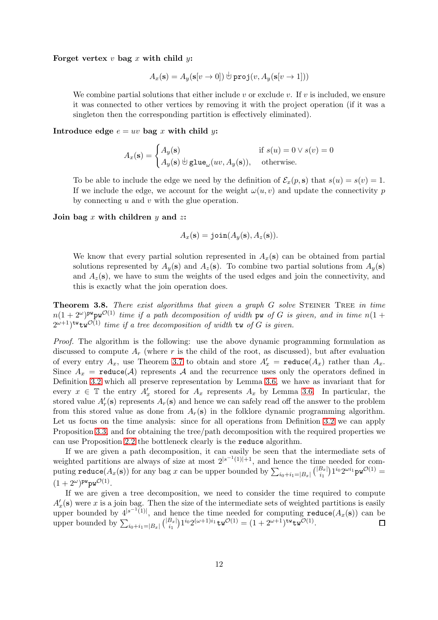#### Forget vertex  $v$  bag  $x$  with child  $y$ :

$$
A_x(\mathbf{s}) = A_y(\mathbf{s}[v \to 0]) \uplus \text{proj}(v, A_y(\mathbf{s}[v \to 1]))
$$

We combine partial solutions that either include v or exclude v. If v is included, we ensure it was connected to other vertices by removing it with the project operation (if it was a singleton then the corresponding partition is effectively eliminated).

Introduce edge  $e = uv$  bag x with child y:

$$
A_x(\mathbf{s}) = \begin{cases} A_y(\mathbf{s}) & \text{if } s(u) = 0 \lor s(v) = 0\\ A_y(\mathbf{s}) \lor \text{glue}_{\omega}(uv, A_y(\mathbf{s})), & \text{otherwise.} \end{cases}
$$

To be able to include the edge we need by the definition of  $\mathcal{E}_x(p, s)$  that  $s(u) = s(v) = 1$ . If we include the edge, we account for the weight  $\omega(u, v)$  and update the connectivity p by connecting  $u$  and  $v$  with the glue operation.

Join bag  $x$  with children  $y$  and  $z$ :

$$
A_x(\mathbf{s}) = \text{join}(A_y(\mathbf{s}), A_z(\mathbf{s})).
$$

We know that every partial solution represented in  $A_x(\mathbf{s})$  can be obtained from partial solutions represented by  $A_y(s)$  and  $A_z(s)$ . To combine two partial solutions from  $A_y(s)$ and  $A_z(\mathbf{s})$ , we have to sum the weights of the used edges and join the connectivity, and this is exactly what the join operation does.

<span id="page-12-0"></span>**Theorem 3.8.** There exist algorithms that given a graph  $G$  solve STEINER TREE in time  $n(1+2^{\omega})^{\text{pw}}$ pw $\mathcal{O}^{(1)}$  time if a path decomposition of width pw of G is given, and in time  $n(1+2^{\omega})^{\text{pw}}$  $(2^{\omega+1})^{\mathsf{tw}}$ tw $^{\mathcal{O}(1)}$  time if a tree decomposition of width tw of G is given.

Proof. The algorithm is the following: use the above dynamic programming formulation as discussed to compute  $A_r$  (where r is the child of the root, as discussed), but after evaluation of every entry  $A_x$ , use Theorem [3.7](#page-10-1) to obtain and store  $A'_x = \texttt{reduce}(A_x)$  rather than  $A_x$ . Since  $A_x$  = reduce( $A$ ) represents A and the recurrence uses only the operators defined in Definition [3.2](#page-9-1) which all preserve representation by Lemma [3.6,](#page-10-2) we have as invariant that for every  $x \in \mathbb{T}$  the entry  $A'_x$  stored for  $A_x$  represents  $A_x$  by Lemma [3.6.](#page-10-2) In particular, the stored value  $A'_r(\mathbf{s})$  represents  $A_r(\mathbf{s})$  and hence we can safely read off the answer to the problem from this stored value as done from  $A_r(s)$  in the folklore dynamic programming algorithm. Let us focus on the time analysis: since for all operations from Definition [3.2](#page-9-1) we can apply Proposition [3.3,](#page-10-3) and for obtaining the tree/path decomposition with the required properties we can use Proposition [2.2](#page-8-1) the bottleneck clearly is the reduce algorithm.

If we are given a path decomposition, it can easily be seen that the intermediate sets of weighted partitions are always of size at most  $2^{|s^{-1}(1)|+1}$ , and hence the time needed for computing  $\texttt{reduce}(A_x(\mathbf{s}))$  for any bag x can be upper bounded by  $\sum_{i_0+i_1=|B_x|} {|B_x| \choose i_1} 1^{i_0} 2^{\omega i_1} \mathsf{pw}^{\mathcal{O}(1)} =$  $(1+2^{\omega})^{pw}$ pw $\mathcal{O}(1)$ .

If we are given a tree decomposition, we need to consider the time required to compute  $A'_x(s)$  were x is a join bag. Then the size of the intermediate sets of weighted partitions is easily upper bounded by  $4^{|s^{-1}(1)|}$ , and hence the time needed for computing reduce $(A_x(s))$  can be upper bounded by  $\sum_{i_0+i_1=|B_x|} {|B_x| \choose i_1} 1^{i_0} 2^{(\omega+1)i_1} \mathbf{tw}^{\mathcal{O}(1)} = (1 + 2^{\omega+1})^{\mathbf{tw}} \mathbf{tw}^{\mathcal{O}(1)}$ .  $\Box$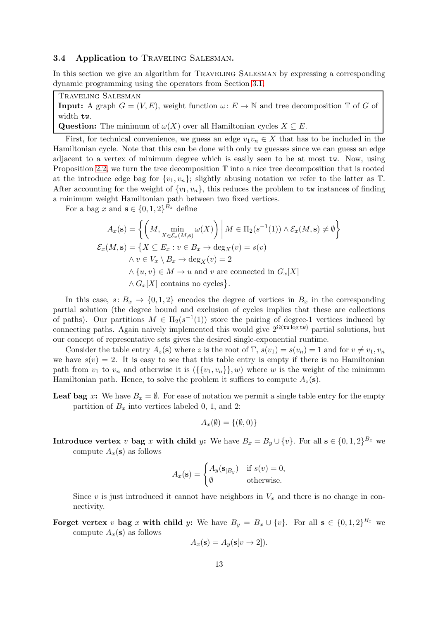#### <span id="page-13-0"></span>3.4 Application to Traveling Salesman.

In this section we give an algorithm for TRAVELING SALESMAN by expressing a corresponding dynamic programming using the operators from Section [3.1.](#page-9-0)

Traveling Salesman **Input:** A graph  $G = (V, E)$ , weight function  $\omega: E \to \mathbb{N}$  and tree decomposition  $\mathbb{T}$  of G of width tw.

Question: The minimum of  $\omega(X)$  over all Hamiltonian cycles  $X \subseteq E$ .

First, for technical convenience, we guess an edge  $v_1v_n \in X$  that has to be included in the Hamiltonian cycle. Note that this can be done with only tw guesses since we can guess an edge adjacent to a vertex of minimum degree which is easily seen to be at most tw. Now, using Proposition [2.2,](#page-8-1) we turn the tree decomposition T into a nice tree decomposition that is rooted at the introduce edge bag for  $\{v_1, v_n\}$ ; slightly abusing notation we refer to the latter as  $\mathbb{T}$ . After accounting for the weight of  $\{v_1, v_n\}$ , this reduces the problem to tw instances of finding a minimum weight Hamiltonian path between two fixed vertices.

For a bag x and  $\mathbf{s} \in \{0, 1, 2\}^{B_x}$  define

$$
A_x(\mathbf{s}) = \left\{ \left( M, \min_{X \in \mathcal{E}_x(M, \mathbf{s})} \omega(X) \right) \middle| M \in \Pi_2(s^{-1}(1)) \wedge \mathcal{E}_x(M, \mathbf{s}) \neq \emptyset \right\}
$$
  

$$
\mathcal{E}_x(M, \mathbf{s}) = \left\{ X \subseteq E_x : v \in B_x \to \deg_X(v) = s(v) \land v \in V_x \setminus B_x \to \deg_X(v) = 2 \land \{u, v\} \in M \to u \text{ and } v \text{ are connected in } G_x[X] \land G_x[X] \text{ contains no cycles} \right\}.
$$

In this case,  $s: B_x \to \{0, 1, 2\}$  encodes the degree of vertices in  $B_x$  in the corresponding partial solution (the degree bound and exclusion of cycles implies that these are collections of paths). Our partitions  $M \in \Pi_2(s^{-1}(1))$  store the pairing of degree-1 vertices induced by connecting paths. Again naively implemented this would give  $2^{\Omega(\text{tw} \log \text{tw})}$  partial solutions, but our concept of representative sets gives the desired single-exponential runtime.

Consider the table entry  $A_z(\mathbf{s})$  where z is the root of  $\mathbb{T}$ ,  $s(v_1) = s(v_n) = 1$  and for  $v \neq v_1, v_n$ we have  $s(v) = 2$ . It is easy to see that this table entry is empty if there is no Hamiltonian path from  $v_1$  to  $v_n$  and otherwise it is  $({v_1, v_n}, v)$  where w is the weight of the minimum Hamiltonian path. Hence, to solve the problem it suffices to compute  $A_z(\mathbf{s})$ .

**Leaf bag** x: We have  $B_x = \emptyset$ . For ease of notation we permit a single table entry for the empty partition of  $B_x$  into vertices labeled 0, 1, and 2:

$$
A_x(\emptyset) = \{(\emptyset, 0)\}
$$

Introduce vertex v bag x with child y: We have  $B_x = B_y \cup \{v\}$ . For all  $s \in \{0, 1, 2\}^{B_x}$  we compute  $A_x(s)$  as follows

$$
A_x(\mathbf{s}) = \begin{cases} A_y(\mathbf{s}_{|B_y}) & \text{if } s(v) = 0, \\ \emptyset & \text{otherwise.} \end{cases}
$$

Since v is just introduced it cannot have neighbors in  $V_x$  and there is no change in connectivity.

**Forget vertex** v bag x with child y: We have  $B_y = B_x \cup \{v\}$ . For all  $s \in \{0, 1, 2\}^{B_x}$  we compute  $A_x(s)$  as follows

$$
A_x(\mathbf{s}) = A_y(\mathbf{s}[v \to 2]).
$$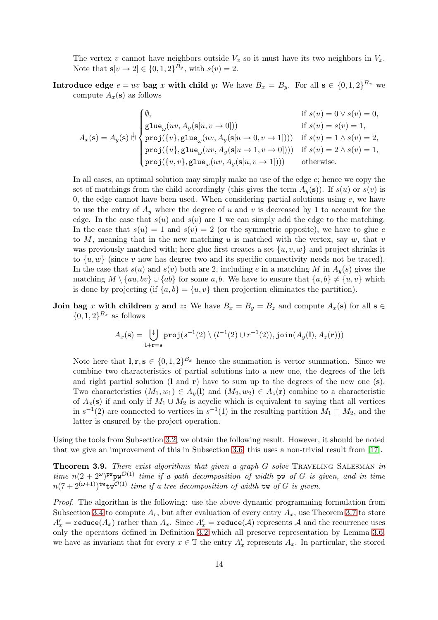The vertex v cannot have neighbors outside  $V_x$  so it must have its two neighbors in  $V_x$ . Note that  $s[v \to 2] \in \{0, 1, 2\}^{B_y}$ , with  $s(v) = 2$ .

Introduce edge  $e = uv$  bag x with child y: We have  $B_x = B_y$ . For all  $s \in \{0, 1, 2\}^{B_x}$  we compute  $A_x(s)$  as follows

$$
A_x(\mathbf{s}) = A_y(\mathbf{s}) \stackrel{\psi}{\uparrow} \begin{cases} \emptyset, & \text{if } s(u) = 0 \vee s(v) = 0, \\ \text{glue}_{\omega}(uv, A_y(\mathbf{s}[u, v \to 0])) & \text{if } s(u) = s(v) = 1, \\ \text{proj}(\{v\}, \text{glue}_{\omega}(uv, A_y(\mathbf{s}[u \to 0, v \to 1]))) & \text{if } s(u) = 1 \wedge s(v) = 2, \\ \text{proj}(\{u\}, \text{glue}_{\omega}(uv, A_y(\mathbf{s}[u \to 1, v \to 0]))) & \text{if } s(u) = 2 \wedge s(v) = 1, \\ \text{proj}(\{u, v\}, \text{glue}_{\omega}(uv, A_y(\mathbf{s}[u, v \to 1]))) & \text{otherwise.} \end{cases}
$$

In all cases, an optimal solution may simply make no use of the edge e; hence we copy the set of matchings from the child accordingly (this gives the term  $A_u(\mathbf{s})$ ). If  $s(u)$  or  $s(v)$  is 0, the edge cannot have been used. When considering partial solutions using  $e$ , we have to use the entry of  $A_y$  where the degree of u and v is decreased by 1 to account for the edge. In the case that  $s(u)$  and  $s(v)$  are 1 we can simply add the edge to the matching. In the case that  $s(u) = 1$  and  $s(v) = 2$  (or the symmetric opposite), we have to glue e to M, meaning that in the new matching u is matched with the vertex, say w, that v was previously matched with; here glue first creates a set  $\{u, v, w\}$  and project shrinks it to  $\{u, w\}$  (since v now has degree two and its specific connectivity needs not be traced). In the case that  $s(u)$  and  $s(v)$  both are 2, including e in a matching M in  $A_u(s)$  gives the matching  $M \setminus \{au, bv\} \cup \{ab\}$  for some a, b. We have to ensure that  $\{a, b\} \neq \{u, v\}$  which is done by projecting (if  $\{a, b\} = \{u, v\}$  then projection eliminates the partition).

**Join bag** x with children y and z: We have  $B_x = B_y = B_z$  and compute  $A_x(s)$  for all  $s \in \mathbb{R}$  $\{0, 1, 2\}^{B_x}$  as follows

$$
A_x(\mathbf{s}) = \bigcup_{\mathbf{l}+\mathbf{r}=\mathbf{s}} \text{proj}(s^{-1}(2) \setminus (l^{-1}(2) \cup r^{-1}(2)), \text{join}(A_y(\mathbf{l}), A_z(\mathbf{r})))
$$

Note here that  $\mathbf{l}, \mathbf{r}, \mathbf{s} \in \{0, 1, 2\}^{B_x}$  hence the summation is vector summation. Since we combine two characteristics of partial solutions into a new one, the degrees of the left and right partial solution  $(1 \text{ and } r)$  have to sum up to the degrees of the new one  $(s)$ . Two characteristics  $(M_1, w_1) \in A_u(1)$  and  $(M_2, w_2) \in A_z(\mathbf{r})$  combine to a characteristic of  $A_x(s)$  if and only if  $M_1 \cup M_2$  is acyclic which is equivalent to saying that all vertices in  $s^{-1}(2)$  are connected to vertices in  $s^{-1}(1)$  in the resulting partition  $M_1 \cap M_2$ , and the latter is ensured by the project operation.

<span id="page-14-0"></span>Using the tools from Subsection [3.2,](#page-10-0) we obtain the following result. However, it should be noted that we give an improvement of this in Subsection [3.6;](#page-18-0) this uses a non-trivial result from [\[17\]](#page-30-11).

**Theorem 3.9.** There exist algorithms that given a graph  $G$  solve TRAVELING SALESMAN in time  $n(2+2^{\omega})^{\text{pw}}$  pw $\mathcal{O}(1)$  time if a path decomposition of width pw of G is given, and in time  $n(7+2^{(\omega+1)})^{\texttt{tw}}$ tw $^{\mathcal{O}(1)}$  time if a tree decomposition of width tw of G is given.

Proof. The algorithm is the following: use the above dynamic programming formulation from Subsection [3.4](#page-13-0) to compute  $A_r$ , but after evaluation of every entry  $A_x$ , use Theorem [3.7](#page-10-1) to store  $A'_x = \texttt{reduce}(A_x)$  rather than  $A_x$ . Since  $A'_x = \texttt{reduce}(\mathcal{A})$  represents  $\mathcal A$  and the recurrence uses only the operators defined in Definition [3.2](#page-9-1) which all preserve representation by Lemma [3.6,](#page-10-2) we have as invariant that for every  $x \in \mathbb{T}$  the entry  $A'_x$  represents  $A_x$ . In particular, the stored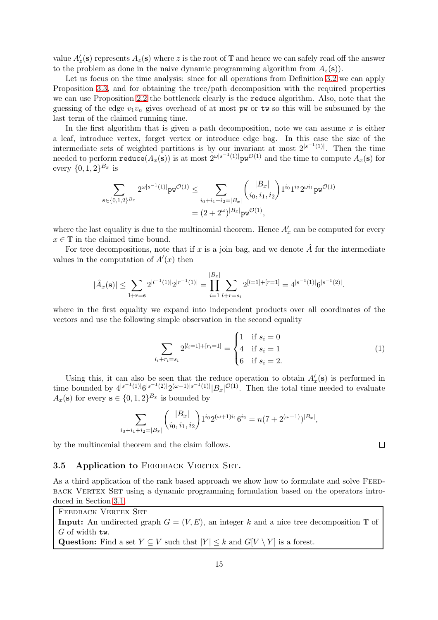value  $A'_z(\mathbf{s})$  represents  $A_z(\mathbf{s})$  where z is the root of T and hence we can safely read off the answer to the problem as done in the naive dynamic programming algorithm from  $A_z(\mathbf{s})$ .

Let us focus on the time analysis: since for all operations from Definition [3.2](#page-9-1) we can apply Proposition [3.3,](#page-10-3) and for obtaining the tree/path decomposition with the required properties we can use Proposition [2.2](#page-8-1) the bottleneck clearly is the reduce algorithm. Also, note that the guessing of the edge  $v_1v_n$  gives overhead of at most pw or tw so this will be subsumed by the last term of the claimed running time.

In the first algorithm that is given a path decomposition, note we can assume  $x$  is either a leaf, introduce vertex, forget vertex or introduce edge bag. In this case the size of the intermediate sets of weighted partitions is by our invariant at most  $2^{|s^{-1}(1)|}$ . Then the time needed to perform  $\mathtt{reduce}(A_x(\mathbf{s}))$  is at most  $2^{\omega|s^{-1}(1)}|p\mathbf{w}^{\mathcal{O}(1)}$  and the time to compute  $A_x(\mathbf{s})$  for every  $\{0, 1, 2\}^{B_x}$  is

$$
\sum_{\mathbf{s}\in\{0,1,2\}^{B_x}} 2^{\omega|s^{-1}(1)|} \mathbf{p} \mathbf{w}^{\mathcal{O}(1)} \le \sum_{i_0+i_1+i_2=|B_x|} { |B_x| \choose i_0, i_1, i_2} 1^{i_0} 1^{i_2} 2^{\omega i_1} \mathbf{p} \mathbf{w}^{\mathcal{O}(1)}
$$

$$
= (2+2^{\omega})^{|B_x|} \mathbf{p} \mathbf{w}^{\mathcal{O}(1)},
$$

where the last equality is due to the multinomial theorem. Hence  $A'_x$  can be computed for every  $x \in \mathbb{T}$  in the claimed time bound.

For tree decompositions, note that if x is a join bag, and we denote  $\hat{A}$  for the intermediate values in the computation of  $A'(x)$  then

$$
|\hat{A}_x(\mathbf{s})| \le \sum_{\mathbf{l}+\mathbf{r}=\mathbf{s}} 2^{|l^{-1}(1)|} 2^{|r^{-1}(1)|} = \prod_{i=1}^{|B_x|} \sum_{l+r=s_i} 2^{|l=1|+|r=1|} = 4^{|s^{-1}(1)|} 6^{|s^{-1}(2)|}.
$$

where in the first equality we expand into independent products over all coordinates of the vectors and use the following simple observation in the second equality

$$
\sum_{l_i + r_i = s_i} 2^{[l_i = 1] + [r_i = 1]} = \begin{cases} 1 & \text{if } s_i = 0 \\ 4 & \text{if } s_i = 1 \\ 6 & \text{if } s_i = 2. \end{cases}
$$
 (1)

Using this, it can also be seen that the reduce operation to obtain  $A'_x(\mathbf{s})$  is performed in time bounded by  $4^{|s^{-1}(1)|}6^{|s^{-1}(2)|}2^{(\omega-1)|s^{-1}(1)|}|B_x|^{\mathcal{O}(1)}$ . Then the total time needed to evaluate  $A_x(\mathbf{s})$  for every  $\mathbf{s} \in \{0, 1, 2\}^{B_x}$  is bounded by

$$
\sum_{i_0+i_1+i_2=|B_x|} { |B_x| \choose i_0, i_1, i_2} 1^{i_0} 2^{(\omega+1)i_1} 6^{i_2} = n(7+2^{(\omega+1)})^{|B_x|},
$$

by the multinomial theorem and the claim follows.

#### <span id="page-15-0"></span>3.5 Application to FEEDBACK VERTEX SET.

As a third application of the rank based approach we show how to formulate and solve FEEDback Vertex Set using a dynamic programming formulation based on the operators introduced in Section [3.1.](#page-9-0)

FEEDBACK VERTEX SET

**Input:** An undirected graph  $G = (V, E)$ , an integer k and a nice tree decomposition T of G of width tw.

**Question:** Find a set 
$$
Y \subseteq V
$$
 such that  $|Y| \leq k$  and  $G[V \setminus Y]$  is a forest.

 $\Box$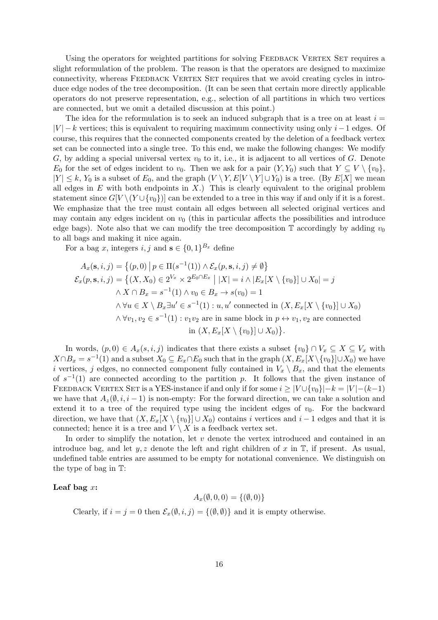Using the operators for weighted partitions for solving FEEDBACK VERTEX SET requires a slight reformulation of the problem. The reason is that the operators are designed to maximize connectivity, whereas FEEDBACK VERTEX SET requires that we avoid creating cycles in introduce edge nodes of the tree decomposition. (It can be seen that certain more directly applicable operators do not preserve representation, e.g., selection of all partitions in which two vertices are connected, but we omit a detailed discussion at this point.)

The idea for the reformulation is to seek an induced subgraph that is a tree on at least  $i =$  $|V| - k$  vertices; this is equivalent to requiring maximum connectivity using only i–1 edges. Of course, this requires that the connected components created by the deletion of a feedback vertex set can be connected into a single tree. To this end, we make the following changes: We modify G, by adding a special universal vertex  $v_0$  to it, i.e., it is adjacent to all vertices of G. Denote  $E_0$  for the set of edges incident to  $v_0$ . Then we ask for a pair  $(Y, Y_0)$  such that  $Y \subseteq V \setminus \{v_0\}$ ,  $|Y| \leq k$ ,  $Y_0$  is a subset of  $E_0$ , and the graph  $(V \setminus Y, E[V \setminus Y] \cup Y_0)$  is a tree. (By  $E[X]$  we mean all edges in  $E$  with both endpoints in  $X$ .) This is clearly equivalent to the original problem statement since  $G[V \setminus (Y \cup \{v_0\})]$  can be extended to a tree in this way if and only if it is a forest. We emphasize that the tree must contain all edges between all selected original vertices and may contain any edges incident on  $v_0$  (this in particular affects the possibilities and introduce edge bags). Note also that we can modify the tree decomposition  $\mathbb T$  accordingly by adding  $v_0$ to all bags and making it nice again.

For a bag x, integers  $i, j$  and  $\mathbf{s} \in \{0, 1\}^{B_x}$  define

$$
A_x(\mathbf{s}, i, j) = \{(p, 0) \mid p \in \Pi(s^{-1}(1)) \land \mathcal{E}_x(p, \mathbf{s}, i, j) \neq \emptyset\}
$$
  

$$
\mathcal{E}_x(p, \mathbf{s}, i, j) = \{(X, X_0) \in 2^{V_x} \times 2^{E_0 \cap E_x} \mid |X| = i \land |E_x[X \setminus \{v_0\}] \cup X_0| = j
$$
  

$$
\land X \cap B_x = s^{-1}(1) \land v_0 \in B_x \to s(v_0) = 1
$$
  

$$
\land \forall u \in X \setminus B_x \exists u' \in s^{-1}(1) : u, u' \text{ connected in } (X, E_x[X \setminus \{v_0\}] \cup X_0)
$$
  

$$
\land \forall v_1, v_2 \in s^{-1}(1) : v_1v_2 \text{ are in same block in } p \leftrightarrow v_1, v_2 \text{ are connected}
$$
  
in  $(X, E_x[X \setminus \{v_0\}] \cup X_0)\}.$ 

In words,  $(p, 0) \in A_x(s, i, j)$  indicates that there exists a subset  $\{v_0\} \cap V_x \subseteq X \subseteq V_x$  with  $X \cap B_x = s^{-1}(1)$  and a subset  $X_0 \subseteq E_x \cap E_0$  such that in the graph  $(X, E_x[X \setminus \{v_0\}] \cup X_0)$  we have i vertices, j edges, no connected component fully contained in  $V_x \setminus B_x$ , and that the elements of  $s^{-1}(1)$  are connected according to the partition p. It follows that the given instance of FEEDBACK VERTEX SET is a YES-instance if and only if for some  $i \geq |V \cup \{v_0\}| - k = |V| - (k-1)$ we have that  $A_z(\emptyset, i, i-1)$  is non-empty: For the forward direction, we can take a solution and extend it to a tree of the required type using the incident edges of  $v_0$ . For the backward direction, we have that  $(X, E_x[X \setminus \{v_0\}] \cup X_0)$  contains i vertices and  $i-1$  edges and that it is connected; hence it is a tree and  $V \setminus X$  is a feedback vertex set.

In order to simplify the notation, let  $v$  denote the vertex introduced and contained in an introduce bag, and let  $y, z$  denote the left and right children of x in  $\mathbb{T}$ , if present. As usual, undefined table entries are assumed to be empty for notational convenience. We distinguish on the type of bag in T:

#### Leaf bag  $x$ :

$$
A_x(\emptyset,0,0) = \{(\emptyset,0)\}
$$

Clearly, if  $i = j = 0$  then  $\mathcal{E}_x(\emptyset, i, j) = \{(\emptyset, \emptyset)\}\$ and it is empty otherwise.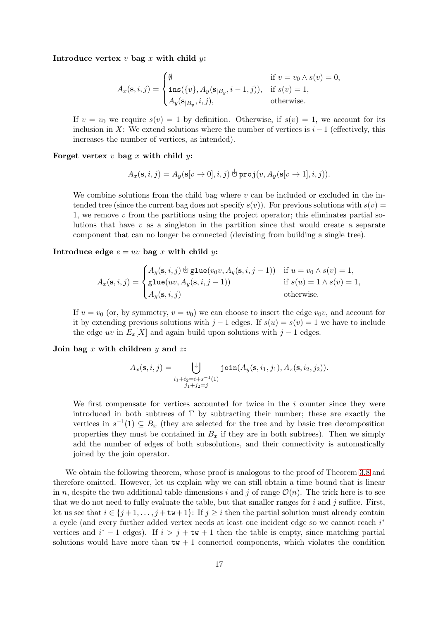#### Introduce vertex  $v$  bag  $x$  with child  $y$ :

$$
A_x(\mathbf{s}, i, j) = \begin{cases} \emptyset & \text{if } v = v_0 \wedge s(v) = 0, \\ \text{ins}(\{v\}, A_y(\mathbf{s}_{|B_y}, i - 1, j)), & \text{if } s(v) = 1, \\ A_y(\mathbf{s}_{|B_y}, i, j), & \text{otherwise.} \end{cases}
$$

If  $v = v_0$  we require  $s(v) = 1$  by definition. Otherwise, if  $s(v) = 1$ , we account for its inclusion in X: We extend solutions where the number of vertices is  $i-1$  (effectively, this increases the number of vertices, as intended).

#### Forget vertex  $v$  bag  $x$  with child  $y$ :

$$
A_x(\mathbf{s}, i, j) = A_y(\mathbf{s}[v \to 0], i, j) \; \forall \; \text{proj}(v, A_y(\mathbf{s}[v \to 1], i, j)).
$$

We combine solutions from the child bag where  $v$  can be included or excluded in the intended tree (since the current bag does not specify  $s(v)$ ). For previous solutions with  $s(v)$  = 1, we remove  $v$  from the partitions using the project operator; this eliminates partial solutions that have  $v$  as a singleton in the partition since that would create a separate component that can no longer be connected (deviating from building a single tree).

#### Introduce edge  $e = uv$  bag x with child y:

$$
A_x(\mathbf{s}, i, j) = \begin{cases} A_y(\mathbf{s}, i, j) \cup \text{glue}(v_0 v, A_y(\mathbf{s}, i, j - 1)) & \text{if } u = v_0 \wedge s(v) = 1, \\ \text{glue}(uv, A_y(\mathbf{s}, i, j - 1)) & \text{if } s(u) = 1 \wedge s(v) = 1, \\ A_y(\mathbf{s}, i, j) & \text{otherwise.} \end{cases}
$$

If  $u = v_0$  (or, by symmetry,  $v = v_0$ ) we can choose to insert the edge  $v_0v$ , and account for it by extending previous solutions with  $j - 1$  edges. If  $s(u) = s(v) = 1$  we have to include the edge uv in  $E_x[X]$  and again build upon solutions with  $j-1$  edges.

Join bag  $x$  with children  $y$  and  $z$ :

$$
A_x(\mathbf{s}, i, j) = \bigcup_{\substack{i_1 + i_2 = i + s^{-1}(1) \\ j_1 + j_2 = j}} j \text{oin}(A_y(\mathbf{s}, i_1, j_1), A_z(\mathbf{s}, i_2, j_2)).
$$

We first compensate for vertices accounted for twice in the  $i$  counter since they were introduced in both subtrees of T by subtracting their number; these are exactly the vertices in  $s^{-1}(1) \subseteq B_x$  (they are selected for the tree and by basic tree decomposition properties they must be contained in  $B_x$  if they are in both subtrees). Then we simply add the number of edges of both subsolutions, and their connectivity is automatically joined by the join operator.

We obtain the following theorem, whose proof is analogous to the proof of Theorem [3.8](#page-12-0) and therefore omitted. However, let us explain why we can still obtain a time bound that is linear in n, despite the two additional table dimensions i and j of range  $\mathcal{O}(n)$ . The trick here is to see that we do not need to fully evaluate the table, but that smaller ranges for  $i$  and  $j$  suffice. First, let us see that  $i \in \{j+1,\ldots,j+\text{tw}+1\}$ : If  $j \geq i$  then the partial solution must already contain a cycle (and every further added vertex needs at least one incident edge so we cannot reach  $i^*$ vertices and  $i^* - 1$  edges). If  $i > j + \text{tw} + 1$  then the table is empty, since matching partial solutions would have more than  $t w + 1$  connected components, which violates the condition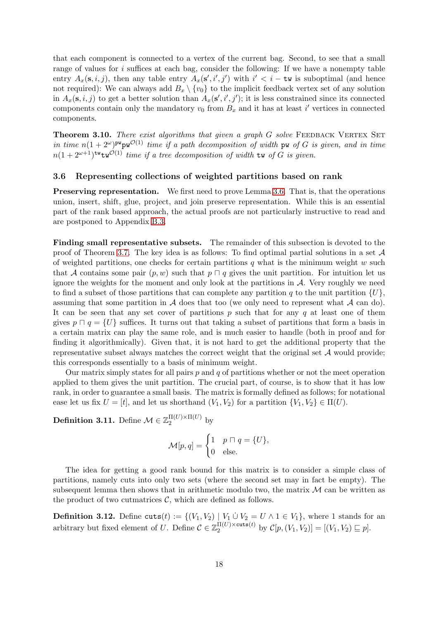that each component is connected to a vertex of the current bag. Second, to see that a small range of values for i suffices at each bag, consider the following: If we have a nonempty table entry  $A_x(\mathbf{s}, i, j)$ , then any table entry  $A_x(\mathbf{s}', i', j')$  with  $i' < i - \mathbf{tw}$  is suboptimal (and hence not required): We can always add  $B_x \setminus \{v_0\}$  to the implicit feedback vertex set of any solution in  $A_x(\mathbf{s}, i, j)$  to get a better solution than  $A_x(\mathbf{s}', i', j')$ ; it is less constrained since its connected components contain only the mandatory  $v_0$  from  $B_x$  and it has at least i' vertices in connected components.

**Theorem 3.10.** There exist algorithms that given a graph  $G$  solve FEEDBACK VERTEX SET in time  $n(1+2^{\omega})^{\text{pw}}$  pw<sup> $\mathcal{O}(1)$ </sup> time if a path decomposition of width pw of G is given, and in time  $n(1+2^{\omega+1})^{\texttt{tw}}$ tw $^{\mathcal{O}(1)}$  time if a tree decomposition of width tw of G is given.

#### <span id="page-18-0"></span>3.6 Representing collections of weighted partitions based on rank

**Preserving representation.** We first need to prove Lemma [3.6.](#page-10-2) That is, that the operations union, insert, shift, glue, project, and join preserve representation. While this is an essential part of the rank based approach, the actual proofs are not particularly instructive to read and are postponed to Appendix [B.3.](#page-34-0)

Finding small representative subsets. The remainder of this subsection is devoted to the proof of Theorem [3.7.](#page-10-1) The key idea is as follows: To find optimal partial solutions in a set  $A$ of weighted partitions, one checks for certain partitions  $q$  what is the minimum weight  $w$  such that A contains some pair  $(p, w)$  such that  $p \sqcap q$  gives the unit partition. For intuition let us ignore the weights for the moment and only look at the partitions in  $A$ . Very roughly we need to find a subset of those partitions that can complete any partition q to the unit partition  $\{U\}$ , assuming that some partition in  $A$  does that too (we only need to represent what  $A$  can do). It can be seen that any set cover of partitions  $p$  such that for any  $q$  at least one of them gives  $p \sqcap q = \{U\}$  suffices. It turns out that taking a subset of partitions that form a basis in a certain matrix can play the same role, and is much easier to handle (both in proof and for finding it algorithmically). Given that, it is not hard to get the additional property that the representative subset always matches the correct weight that the original set  $A$  would provide; this corresponds essentially to a basis of minimum weight.

Our matrix simply states for all pairs  $p$  and  $q$  of partitions whether or not the meet operation applied to them gives the unit partition. The crucial part, of course, is to show that it has low rank, in order to guarantee a small basis. The matrix is formally defined as follows; for notational ease let us fix  $U = [t]$ , and let us shorthand  $(V_1, V_2)$  for a partition  $\{V_1, V_2\} \in \Pi(U)$ .

**Definition 3.11.** Define  $\mathcal{M} \in \mathbb{Z}_2^{\Pi(U) \times \Pi(U)}$  by

$$
\mathcal{M}[p,q] = \begin{cases} 1 & p \sqcap q = \{U\}, \\ 0 & \text{else.} \end{cases}
$$

The idea for getting a good rank bound for this matrix is to consider a simple class of partitions, namely cuts into only two sets (where the second set may in fact be empty). The subsequent lemma then shows that in arithmetic modulo two, the matrix  $\mathcal M$  can be written as the product of two cutmatrices  $\mathcal{C}$ , which are defined as follows.

**Definition 3.12.** Define cuts $(t) := \{(V_1, V_2) | V_1 \cup V_2 = U \land 1 \in V_1\}$ , where 1 stands for an arbitrary but fixed element of U. Define  $C \in \mathbb{Z}_2^{\Pi(U) \times \text{cuts}(t)}$  by  $C[p, (V_1, V_2)] = [(V_1, V_2) \sqsubseteq p]$ .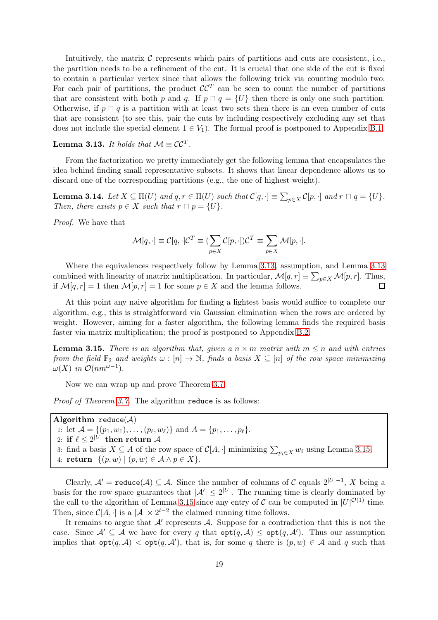Intuitively, the matrix  $C$  represents which pairs of partitions and cuts are consistent, i.e., the partition needs to be a refinement of the cut. It is crucial that one side of the cut is fixed to contain a particular vertex since that allows the following trick via counting modulo two: For each pair of partitions, the product  $\mathcal{CC}^T$  can be seen to count the number of partitions that are consistent with both p and q. If  $p \sqcap q = \{U\}$  then there is only one such partition. Otherwise, if  $p \nvert q$  is a partition with at least two sets then there is an even number of cuts that are consistent (to see this, pair the cuts by including respectively excluding any set that does not include the special element  $1 \in V_1$ ). The formal proof is postponed to Appendix [B.1.](#page-33-0)

## <span id="page-19-0"></span>**Lemma 3.13.** It holds that  $\mathcal{M} \equiv \mathcal{CC}^T$ .

From the factorization we pretty immediately get the following lemma that encapsulates the idea behind finding small representative subsets. It shows that linear dependence allows us to discard one of the corresponding partitions (e.g., the one of highest weight).

<span id="page-19-2"></span>**Lemma 3.14.** Let  $X \subseteq \Pi(U)$  and  $q, r \in \Pi(U)$  such that  $\mathcal{C}[q, \cdot] \equiv \sum_{p \in X} \mathcal{C}[p, \cdot]$  and  $r \sqcap q = \{U\}.$ Then, there exists  $p \in X$  such that  $r \cap p = \{U\}.$ 

Proof. We have that

$$
\mathcal{M}[q,\cdot] \equiv \mathcal{C}[q,\cdot]\mathcal{C}^T \equiv (\sum_{p \in X} \mathcal{C}[p,\cdot])\mathcal{C}^T \equiv \sum_{p \in X} \mathcal{M}[p,\cdot].
$$

Where the equivalences respectively follow by Lemma [3.13,](#page-19-0) assumption, and Lemma [3.13](#page-19-0) combined with linearity of matrix multiplication. In particular,  $\mathcal{M}[q,r] \equiv \sum_{p \in X} \mathcal{M}[p,r]$ . Thus, if  $\mathcal{M}[q, r] = 1$  then  $\mathcal{M}[p, r] = 1$  for some  $p \in X$  and the lemma follows.

At this point any naive algorithm for finding a lightest basis would suffice to complete our algorithm, e.g., this is straightforward via Gaussian elimination when the rows are ordered by weight. However, aiming for a faster algorithm, the following lemma finds the required basis faster via matrix multiplication; the proof is postponed to Appendix [B.2.](#page-33-1)

<span id="page-19-1"></span>**Lemma 3.15.** There is an algorithm that, given a  $n \times m$  matrix with  $m \leq n$  and with entries from the field  $\mathbb{F}_2$  and weights  $\omega : [n] \to \mathbb{N}$ , finds a basis  $X \subseteq [n]$  of the row space minimizing  $\omega(X)$  in  $\mathcal{O}(nm^{\omega-1})$ .

Now we can wrap up and prove Theorem [3.7.](#page-10-1)

Proof of Theorem [3.7.](#page-10-1) The algorithm reduce is as follows:

Algorithm reduce( $A$ ) 1: let  $\mathcal{A} = \{(p_1, w_1), \ldots, (p_\ell, w_\ell)\}\$ and  $A = \{p_1, \ldots, p_\ell\}.$ 2: if  $\ell \leq 2^{|U|}$  then return A 3: find a basis  $X \subseteq A$  of the row space of  $C[A, \cdot]$  minimizing  $\sum_{p_i \in X} w_i$  using Lemma [3.15.](#page-19-1) 4: return  $\{(p, w) \mid (p, w) \in \mathcal{A} \land p \in X\}.$ 

Clearly,  $\mathcal{A}' = \text{reduce}(\mathcal{A}) \subseteq \mathcal{A}$ . Since the number of columns of C equals  $2^{|U|-1}$ , X being a basis for the row space guarantees that  $|\mathcal{A}'| \leq 2^{|U|}$ . The running time is clearly dominated by the call to the algorithm of Lemma [3.15](#page-19-1) since any entry of C can be computed in  $|U|^{O(1)}$  time. Then, since  $C[A, \cdot]$  is a  $|A| \times 2^{t-2}$  the claimed running time follows.

It remains to argue that  $A'$  represents  $A$ . Suppose for a contradiction that this is not the case. Since  $\mathcal{A}' \subseteq \mathcal{A}$  we have for every q that  $opt(q, \mathcal{A}) \le opt(q, \mathcal{A}')$ . Thus our assumption implies that  $opt(q, A) < opt(q, A')$ , that is, for some q there is  $(p, w) \in A$  and q such that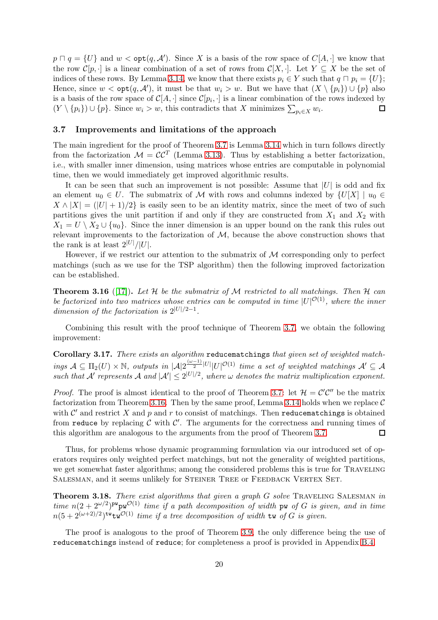$p \sqcap q = \{U\}$  and  $w < \text{opt}(q, \mathcal{A}')$ . Since X is a basis of the row space of  $C[A, \cdot]$  we know that the row  $\mathcal{C}[p, \cdot]$  is a linear combination of a set of rows from  $\mathcal{C}[X, \cdot]$ . Let  $Y \subseteq X$  be the set of indices of these rows. By Lemma [3.14,](#page-19-2) we know that there exists  $p_i \in Y$  such that  $q \cap p_i = \{U\}$ ; Hence, since  $w < \text{opt}(q, \mathcal{A}')$ , it must be that  $w_i > w$ . But we have that  $(X \setminus \{p_i\}) \cup \{p\}$  also is a basis of the row space of  $C[A, \cdot]$  since  $C[p_i, \cdot]$  is a linear combination of the rows indexed by  $(Y \setminus \{p_i\}) \cup \{p\}$ . Since  $w_i > w$ , this contradicts that X minimizes  $\sum_{p_i \in X} w_i$ .

#### <span id="page-20-0"></span>3.7 Improvements and limitations of the approach

The main ingredient for the proof of Theorem [3.7](#page-10-1) is Lemma [3.14](#page-19-2) which in turn follows directly from the factorization  $\mathcal{M} = \mathcal{CC}^T$  (Lemma [3.13\)](#page-19-0). Thus by establishing a better factorization, i.e., with smaller inner dimension, using matrices whose entries are computable in polynomial time, then we would immediately get improved algorithmic results.

It can be seen that such an improvement is not possible: Assume that  $|U|$  is odd and fix an element  $u_0 \in U$ . The submatrix of M with rows and columns indexed by  $\{U[X] \mid u_0 \in$  $X \wedge |X| = (|U| + 1)/2$  is easily seen to be an identity matrix, since the meet of two of such partitions gives the unit partition if and only if they are constructed from  $X_1$  and  $X_2$  with  $X_1 = U \setminus X_2 \cup \{u_0\}.$  Since the inner dimension is an upper bound on the rank this rules out relevant improvements to the factorization of  $M$ , because the above construction shows that the rank is at least  $2^{|U|}/|U|$ .

However, if we restrict our attention to the submatrix of  $\mathcal M$  corresponding only to perfect matchings (such as we use for the TSP algorithm) then the following improved factorization can be established.

<span id="page-20-1"></span>**Theorem 3.16** ([\[17\]](#page-30-11)). Let H be the submatrix of M restricted to all matchings. Then H can be factorized into two matrices whose entries can be computed in time  $|U|^{O(1)}$ , where the inner dimension of the factorization is  $2^{|U|/2-1}$ .

<span id="page-20-3"></span>Combining this result with the proof technique of Theorem [3.7,](#page-10-1) we obtain the following improvement:

Corollary 3.17. There exists an algorithm reducematchings that given set of weighted match- ${\rm diag}\,A \subseteq \Pi_2(U) \times {\mathbb N}$ , outputs in  $|A|2^{\frac{(\omega-1)}{2}|U|} |U|^{{\mathcal{O}}(1)}$  time a set of weighted matchings  $A' \subseteq A$ such that A' represents A and  $|A'| \leq 2^{|U|/2}$ , where  $\omega$  denotes the matrix multiplication exponent.

*Proof.* The proof is almost identical to the proof of Theorem [3.7:](#page-10-1) let  $\mathcal{H} = C'C''$  be the matrix factorization from Theorem [3.16.](#page-20-1) Then by the same proof, Lemma [3.14](#page-19-2) holds when we replace  $\mathcal C$ with  $\mathcal{C}'$  and restrict X and p and r to consist of matchings. Then reducematchings is obtained from reduce by replacing  $\mathcal C$  with  $\mathcal C'$ . The arguments for the correctness and running times of  $\Box$ this algorithm are analogous to the arguments from the proof of Theorem [3.7.](#page-10-1)

Thus, for problems whose dynamic programming formulation via our introduced set of operators requires only weighted perfect matchings, but not the generality of weighted partitions, we get somewhat faster algorithms; among the considered problems this is true for TRAVELING SALESMAN, and it seems unlikely for STEINER TREE or FEEDBACK VERTEX SET.

<span id="page-20-2"></span>**Theorem 3.18.** There exist algorithms that given a graph  $G$  solve TRAVELING SALESMAN in time  $n(2+2^{\omega/2})^{\text{pw}}$  pw<sup>O(1)</sup> time if a path decomposition of width pw of G is given, and in time  $n(5+2^{(\omega+2)/2})^{\texttt{tw}}$ tw $^{\mathcal{O}(1)}$  time if a tree decomposition of width tw of G is given.

The proof is analogous to the proof of Theorem [3.9,](#page-14-0) the only difference being the use of reducematchings instead of reduce; for completeness a proof is provided in Appendix [B.4.](#page-35-0)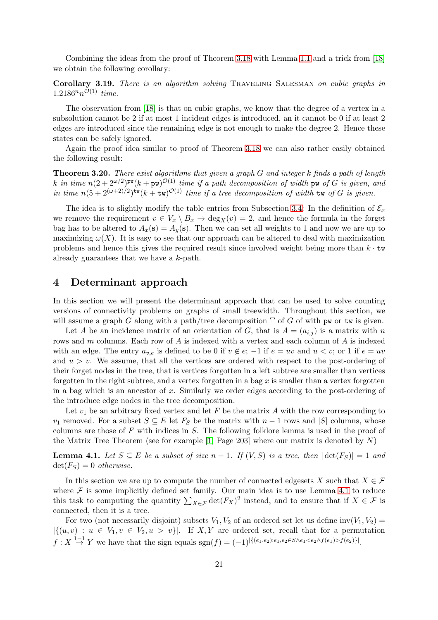<span id="page-21-2"></span>Combining the ideas from the proof of Theorem [3.18](#page-20-2) with Lemma [1.1](#page-6-0) and a trick from [\[18\]](#page-30-3) we obtain the following corollary:

Corollary 3.19. There is an algorithm solving TRAVELING SALESMAN on cubic graphs in  $1.2186^n n^{\mathcal{O}(1)}$  time.

The observation from [\[18\]](#page-30-3) is that on cubic graphs, we know that the degree of a vertex in a subsolution cannot be 2 if at most 1 incident edges is introduced, an it cannot be 0 if at least 2 edges are introduced since the remaining edge is not enough to make the degree 2. Hence these states can be safely ignored.

<span id="page-21-1"></span>Again the proof idea similar to proof of Theorem [3.18](#page-20-2) we can also rather easily obtained the following result:

**Theorem 3.20.** There exist algorithms that given a graph G and integer k finds a path of length k in time  $n(2+2^{\omega/2})^{\mathbf{pw}}(k+\mathbf{pw})^{\mathcal{O}(1)}$  time if a path decomposition of width  $\mathbf{pw}$  of G is given, and in time  $n(5+2^{(\omega+2)/2})^{\text{tw}}(k+\text{tw})^{\mathcal{O}(1)}$  time if a tree decomposition of width  $\text{tw of } G$  is given.

The idea is to slightly modify the table entries from Subsection [3.4:](#page-13-0) In the definition of  $\mathcal{E}_x$ we remove the requirement  $v \in V_x \setminus B_x \to \deg_X(v) = 2$ , and hence the formula in the forget bag has to be altered to  $A_x(\mathbf{s}) = A_y(\mathbf{s})$ . Then we can set all weights to 1 and now we are up to maximizing  $\omega(X)$ . It is easy to see that our approach can be altered to deal with maximization problems and hence this gives the required result since involved weight being more than  $k \cdot \text{tw}$ already guarantees that we have a k-path.

## <span id="page-21-0"></span>4 Determinant approach

In this section we will present the determinant approach that can be used to solve counting versions of connectivity problems on graphs of small treewidth. Throughout this section, we will assume a graph G along with a path/tree decomposition  $\mathbb T$  of G of with pw or tw is given.

Let A be an incidence matrix of an orientation of G, that is  $A = (a_{i,j})$  is a matrix with n rows and m columns. Each row of A is indexed with a vertex and each column of A is indexed with an edge. The entry  $a_{v,e}$  is defined to be 0 if  $v \notin e$ ;  $-1$  if  $e = uv$  and  $u < v$ ; or 1 if  $e = uv$ and  $u > v$ . We assume, that all the vertices are ordered with respect to the post-ordering of their forget nodes in the tree, that is vertices forgotten in a left subtree are smaller than vertices forgotten in the right subtree, and a vertex forgotten in a bag  $x$  is smaller than a vertex forgotten in a bag which is an ancestor of x. Similarly we order edges according to the post-ordering of the introduce edge nodes in the tree decomposition.

Let  $v_1$  be an arbitrary fixed vertex and let F be the matrix A with the row corresponding to  $v_1$  removed. For a subset  $S \subseteq E$  let  $F_S$  be the matrix with  $n-1$  rows and  $|S|$  columns, whose columns are those of  $F$  with indices in  $S$ . The following folklore lemma is used in the proof of the Matrix Tree Theorem (see for example [\[1,](#page-30-14) Page 203] where our matrix is denoted by  $N$ )

<span id="page-21-3"></span>**Lemma 4.1.** Let  $S \subseteq E$  be a subset of size  $n-1$ . If  $(V, S)$  is a tree, then  $|\det(F_S)| = 1$  and  $\det(F_S) = 0$  otherwise.

In this section we are up to compute the number of connected edgesets X such that  $X \in \mathcal{F}$ where  $\mathcal F$  is some implicitly defined set family. Our main idea is to use Lemma [4.1](#page-21-3) to reduce this task to computing the quantity  $\sum_{X \in \mathcal{F}} \det(F_X)^2$  instead, and to ensure that if  $X \in \mathcal{F}$  is connected, then it is a tree.

For two (not necessarily disjoint) subsets  $V_1, V_2$  of an ordered set let us define inv $(V_1, V_2)$  =  $|\{(u, v) : u \in V_1, v \in V_2, u > v\}|$ . If X, Y are ordered set, recall that for a permutation  $f: X \stackrel{1-1}{\rightarrow} Y$  we have that the sign equals  $sgn(f) = (-1)^{|\{(e_1,e_2): e_1,e_2 \in S \land e_1 \leq e_2 \land f(e_1) > f(e_2)\}|}$ .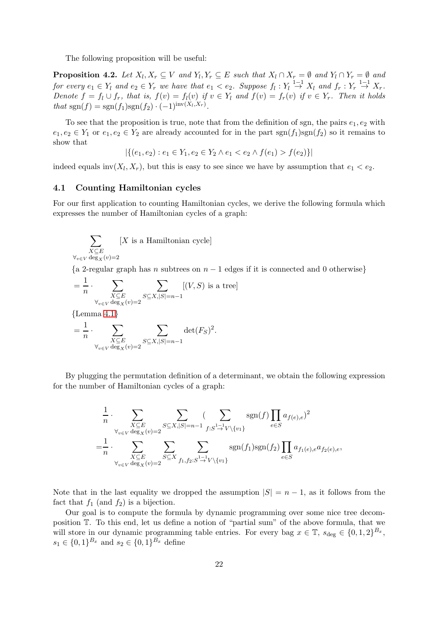<span id="page-22-0"></span>The following proposition will be useful:

**Proposition 4.2.** Let  $X_l, X_r \subseteq V$  and  $Y_l, Y_r \subseteq E$  such that  $X_l \cap X_r = \emptyset$  and  $Y_l \cap Y_r = \emptyset$  and for every  $e_1 \in Y_l$  and  $e_2 \in Y_r$  we have that  $e_1 < e_2$ . Suppose  $f_l : Y_l \stackrel{1-1}{\to} X_l$  and  $f_r : Y_r \stackrel{1-1}{\to} X_r$ . Denote  $f = f_l \cup f_r$ , that is,  $f(v) = f_l(v)$  if  $v \in Y_l$  and  $f(v) = f_r(v)$  if  $v \in Y_r$ . Then it holds that sgn(f) = sgn(f<sub>1</sub>)sgn(f<sub>2</sub>) · (-1)<sup>inv(X<sub>l</sub>,X<sub>r</sub>)</sup>.

To see that the proposition is true, note that from the definition of sgn, the pairs  $e_1, e_2$  with  $e_1, e_2 \in Y_1$  or  $e_1, e_2 \in Y_2$  are already accounted for in the part  $sgn(f_1)sgn(f_2)$  so it remains to show that

$$
|\{(e_1, e_2) : e_1 \in Y_1, e_2 \in Y_2 \land e_1 < e_2 \land f(e_1) > f(e_2)\}\}|
$$

indeed equals inv $(X_l, X_r)$ , but this is easy to see since we have by assumption that  $e_1 < e_2$ .

#### 4.1 Counting Hamiltonian cycles

For our first application to counting Hamiltonian cycles, we derive the following formula which expresses the number of Hamiltonian cycles of a graph:

$$
\sum_{\substack{X \subseteq E \\ \forall v \in V \text{ deg}_X(v) = 2}} [X \text{ is a Hamiltonian cycle}]
$$

{a 2-regular graph has n subtrees on  $n-1$  edges if it is connected and 0 otherwise}

$$
= \frac{1}{n} \cdot \sum_{\substack{X \subseteq E \\ \forall v \in V \text{ deg}_X(v) = 2}} \sum_{S \subseteq X, |S| = n-1} [(V, S) \text{ is a tree}]
$$
  

$$
\{\text{Lemma 4.1}\}
$$

$$
= \frac{1}{n} \cdot \sum_{\substack{X \subseteq E \\ \forall v \in V \text{ deg}_X(v) = 2}} \sum_{S \subseteq X, |S| = n-1} \det(F_S)^2.
$$

By plugging the permutation definition of a determinant, we obtain the following expression for the number of Hamiltonian cycles of a graph:

$$
\frac{1}{n} \cdot \sum_{\substack{X \subseteq E \\ \forall v \in V \deg_X(v) = 2}} \sum_{S \subseteq X, |S| = n-1} (\sum_{f: S^{1-1}V \setminus \{v_1\}} \operatorname{sgn}(f) \prod_{e \in S} a_{f(e), e})^2
$$
\n
$$
= \frac{1}{n} \cdot \sum_{\substack{X \subseteq E \\ \forall v \in V \deg_X(v) = 2}} \sum_{S \subseteq X} \sum_{f_1, f_2: S^{1-1}V \setminus \{v_1\}} \operatorname{sgn}(f_1) \operatorname{sgn}(f_2) \prod_{e \in S} a_{f_1(e), e} a_{f_2(e), e},
$$

Note that in the last equality we dropped the assumption  $|S| = n - 1$ , as it follows from the fact that  $f_1$  (and  $f_2$ ) is a bijection.

Our goal is to compute the formula by dynamic programming over some nice tree decomposition T. To this end, let us define a notion of "partial sum" of the above formula, that we will store in our dynamic programming table entries. For every bag  $x \in \mathbb{T}$ ,  $s_{\text{deg}} \in \{0, 1, 2\}^{B_x}$ ,  $s_1 \in \{0,1\}^{B_x}$  and  $s_2 \in \{0,1\}^{B_x}$  define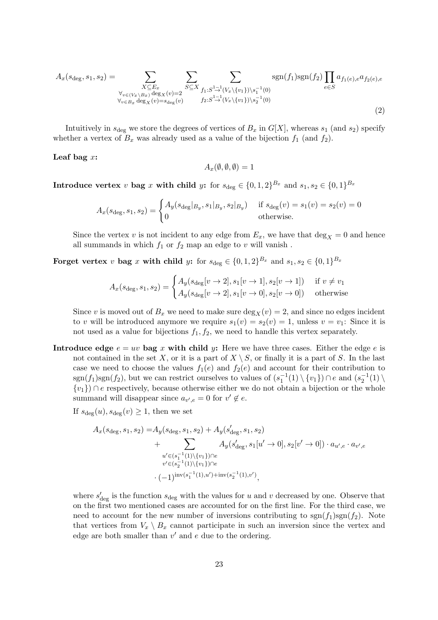$$
A_x(s_{\deg}, s_1, s_2) = \sum_{\substack{X \subseteq E_x \\ \forall_{v \in (V_x \setminus B_x) \deg_X(v) = 2}} \sum_{\substack{S \subseteq X \\ \forall_{v \in B_x \deg_X(v) = s_{\deg}(v)}}} \sum_{\substack{S \subseteq X \\ f_1: S^1 \to \{V_x \setminus \{v_1\}\} \setminus s_1^{-1}(0)}} \operatorname{sgn}(f_1) \operatorname{sgn}(f_2) \prod_{e \in S} a_{f_1(e), e} a_{f_2(e), e}
$$
\n
$$
\operatorname{sgn}(f_1) \operatorname{sgn}(f_2) \prod_{e \in S} a_{f_1(e), e} a_{f_2(e), e}
$$
\n
$$
(2)
$$

Intuitively in  $s_{\text{deg}}$  we store the degrees of vertices of  $B_x$  in  $G[X]$ , whereas  $s_1$  (and  $s_2$ ) specify whether a vertex of  $B_x$  was already used as a value of the bijection  $f_1$  (and  $f_2$ ).

#### Leaf bag  $x$ :

<span id="page-23-0"></span>
$$
A_x(\emptyset, \emptyset, \emptyset) = 1
$$

Introduce vertex v bag x with child y: for  $s_{\text{deg}} \in \{0, 1, 2\}^{B_x}$  and  $s_1, s_2 \in \{0, 1\}^{B_x}$ 

$$
A_x(s_{\text{deg}}, s_1, s_2) = \begin{cases} A_y(s_{\text{deg}}|_{B_y}, s_1|_{B_y}, s_2|_{B_y}) & \text{if } s_{\text{deg}}(v) = s_1(v) = s_2(v) = 0\\ 0 & \text{otherwise.} \end{cases}
$$

Since the vertex v is not incident to any edge from  $E_x$ , we have that  $\deg_X = 0$  and hence all summands in which  $f_1$  or  $f_2$  map an edge to v will vanish.

Forget vertex v bag x with child y: for  $s_{\text{deg}} \in \{0, 1, 2\}^{B_x}$  and  $s_1, s_2 \in \{0, 1\}^{B_x}$ 

$$
A_x(s_{\text{deg}}, s_1, s_2) = \begin{cases} A_y(s_{\text{deg}}[v \to 2], s_1[v \to 1], s_2[v \to 1]) & \text{if } v \neq v_1 \\ A_y(s_{\text{deg}}[v \to 2], s_1[v \to 0], s_2[v \to 0]) & \text{otherwise} \end{cases}
$$

Since v is moved out of  $B_x$  we need to make sure  $\deg_X(v) = 2$ , and since no edges incident to v will be introduced anymore we require  $s_1(v) = s_2(v) = 1$ , unless  $v = v_1$ : Since it is not used as a value for bijections  $f_1, f_2$ , we need to handle this vertex separately.

Introduce edge  $e = uv$  bag x with child y: Here we have three cases. Either the edge e is not contained in the set X, or it is a part of  $X \setminus S$ , or finally it is a part of S. In the last case we need to choose the values  $f_1(e)$  and  $f_2(e)$  and account for their contribution to  $sgn(f_1)sgn(f_2)$ , but we can restrict ourselves to values of  $(s_1^{-1}(1) \setminus \{v_1\}) \cap e$  and  $(s_2^{-1}(1) \setminus e_1$  ${v_1}$ ) ∩e respectively, because otherwise either we do not obtain a bijection or the whole summand will disappear since  $a_{v',e} = 0$  for  $v' \notin e$ .

If  $s_{\text{deg}}(u), s_{\text{deg}}(v) \geq 1$ , then we set

$$
A_x(s_{\text{deg}}, s_1, s_2) = A_y(s_{\text{deg}}, s_1, s_2) + A_y(s_{\text{deg}}', s_1, s_2)
$$
  
+ 
$$
\sum_{\substack{u' \in (s_1^{-1}(1) \setminus \{v_1\}) \cap e \\ v' \in (s_2^{-1}(1) \setminus \{v_1\}) \cap e}} A_y(s_{\text{deg}}', s_1[u' \to 0], s_2[v' \to 0]) \cdot a_{u',e} \cdot a_{v',e}
$$
  
- 
$$
(-1)^{\text{inv}(s_1^{-1}(1), u') + \text{inv}(s_2^{-1}(1), v')},
$$

where  $s'_{\text{deg}}$  is the function  $s_{\text{deg}}$  with the values for u and v decreased by one. Observe that on the first two mentioned cases are accounted for on the first line. For the third case, we need to account for the new number of inversions contributing to  $sgn(f_1)sgn(f_2)$ . Note that vertices from  $V_x \setminus B_x$  cannot participate in such an inversion since the vertex and edge are both smaller than  $v'$  and  $e$  due to the ordering.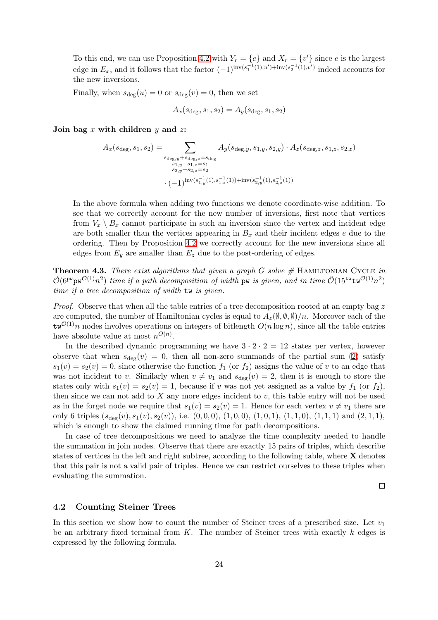To this end, we can use Proposition [4.2](#page-22-0) with  $Y_r = \{e\}$  and  $X_r = \{v'\}$  since e is the largest edge in  $E_x$ , and it follows that the factor  $(-1)^{inv(s_1^{-1}(1),u') + inv(s_2^{-1}(1),v')}$  indeed accounts for the new inversions.

Finally, when  $s_{\text{deg}}(u) = 0$  or  $s_{\text{deg}}(v) = 0$ , then we set

$$
A_x(s_{\text{deg}}, s_1, s_2) = A_y(s_{\text{deg}}, s_1, s_2)
$$

#### Join bag  $x$  with children  $y$  and  $z$ :

$$
A_x(s_{\deg}, s_1, s_2) = \sum_{\substack{s_{\deg,y} + s_{\deg,z} = s_{\deg} \ s_{1,y} + s_{1,z} = s_1 \\ s_{2,y} + s_{2,z} = s_2 \\ s_{2,y} + s_{2,z} = s_2}} A_y(s_{\deg,y}, s_{1,y}, s_{2,y}) \cdot A_z(s_{\deg,z}, s_{1,z}, s_{2,z})
$$

In the above formula when adding two functions we denote coordinate-wise addition. To see that we correctly account for the new number of inversions, first note that vertices from  $V_x \setminus B_x$  cannot participate in such an inversion since the vertex and incident edge are both smaller than the vertices appearing in  $B_x$  and their incident edges e due to the ordering. Then by Proposition [4.2](#page-22-0) we correctly account for the new inversions since all edges from  $E_y$  are smaller than  $E_z$  due to the post-ordering of edges.

**Theorem 4.3.** There exist algorithms that given a graph G solve  $#$  HAMILTONIAN CYCLE in  $\tilde{\mathcal{O}}(\mathbb{G}^{\text{pw}} \mathfrak{p} \mathfrak{w}^{\mathcal{O}(1)} n^2)$  time if a path decomposition of width  $\mathfrak{p} \mathfrak{w}$  is given, and in time  $\tilde{\mathcal{O}}(15^{\text{tw}} \mathsf{tw}^{\mathcal{O}(1)} n^2)$ time if a tree decomposition of width tw is given.

*Proof.* Observe that when all the table entries of a tree decomposition rooted at an empty bag z are computed, the number of Hamiltonian cycles is equal to  $A_z(\emptyset, \emptyset, \emptyset)/n$ . Moreover each of the  $\text{tw}^{\mathcal{O}(1)}$ n nodes involves operations on integers of bitlength  $O(n \log n)$ , since all the table entries have absolute value at most  $n^{O(n)}$ .

In the described dynamic programming we have  $3 \cdot 2 \cdot 2 = 12$  states per vertex, however observe that when  $s_{\text{deg}}(v) = 0$ , then all non-zero summands of the partial sum [\(2\)](#page-23-0) satisfy  $s_1(v) = s_2(v) = 0$ , since otherwise the function  $f_1$  (or  $f_2$ ) assigns the value of v to an edge that was not incident to v. Similarly when  $v \neq v_1$  and  $s_{\text{deg}}(v) = 2$ , then it is enough to store the states only with  $s_1(v) = s_2(v) = 1$ , because if v was not yet assigned as a value by  $f_1$  (or  $f_2$ ), then since we can not add to X any more edges incident to  $v$ , this table entry will not be used as in the forget node we require that  $s_1(v) = s_2(v) = 1$ . Hence for each vertex  $v \neq v_1$  there are only 6 triples  $(s_{\text{deg}}(v), s_1(v), s_2(v))$ , i.e.  $(0, 0, 0), (1, 0, 0), (1, 0, 1), (1, 1, 0), (1, 1, 1)$  and  $(2, 1, 1),$ which is enough to show the claimed running time for path decompositions.

In case of tree decompositions we need to analyze the time complexity needed to handle the summation in join nodes. Observe that there are exactly 15 pairs of triples, which describe states of vertices in the left and right subtree, according to the following table, where  $\bf{X}$  denotes that this pair is not a valid pair of triples. Hence we can restrict ourselves to these triples when evaluating the summation.

 $\Box$ 

#### 4.2 Counting Steiner Trees

In this section we show how to count the number of Steiner trees of a prescribed size. Let  $v_1$ be an arbitrary fixed terminal from  $K$ . The number of Steiner trees with exactly  $k$  edges is expressed by the following formula.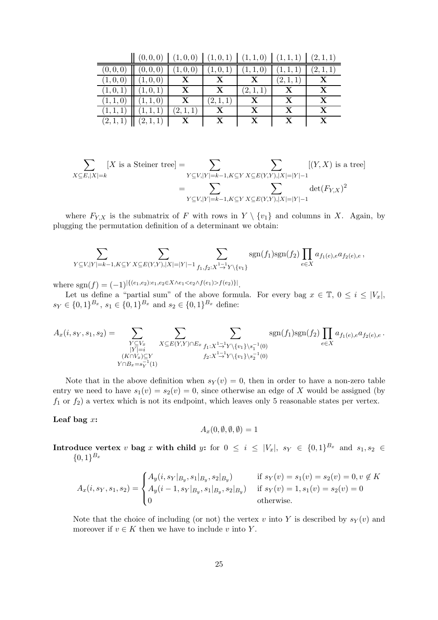|           |                                                                       | $(0,0,0)$ $(1,0,0)$ $(1,0,1)$ $(1,1,0)$ $(1,1,1)$ $(2,1,1)$ |           |         |  |
|-----------|-----------------------------------------------------------------------|-------------------------------------------------------------|-----------|---------|--|
|           | $(0,0,0)$ $(0,0,0)$ $(1,0,0)$ $(1,0,1)$ $(1,1,0)$ $(1,1,1)$ $(2,1,1)$ |                                                             |           |         |  |
|           | $(1,0,0)$ $(1,0,0)$                                                   |                                                             |           | (2,1,1) |  |
|           | $(1,0,1)$ $(1,0,1)$                                                   |                                                             | (2, 1, 1) |         |  |
| (1, 1, 0) | (1, 1, 0)<br>$\mathbb{I}$                                             | (2,1,1)                                                     |           |         |  |

 $(1, 1, 1)$   $(1, 1, 1)$   $(2, 1, 1)$  **X X X** X X  $(2,1,1)$   $\parallel$   $(2,1,1)$   $\parallel$  **X**  $\parallel$  **X**  $\parallel$  **X**  $\parallel$  **X**  $\parallel$  **X** 

$$
\sum_{X \subseteq E, |X|=k} [X \text{ is a Steiner tree}] = \sum_{Y \subseteq V, |Y|=k-1, K \subseteq Y} \sum_{X \subseteq E(Y,Y), |X|=|Y|-1} [(Y,X) \text{ is a tree}]
$$

$$
= \sum_{Y \subseteq V, |Y|=k-1, K \subseteq Y} \sum_{X \subseteq E(Y,Y), |X|=|Y|-1} \det(F_{Y,X})^2
$$

where  $F_{Y,X}$  is the submatrix of F with rows in  $Y \setminus \{v_1\}$  and columns in X. Again, by plugging the permutation definition of a determinant we obtain:

$$
\sum_{Y \subseteq V, |Y|=k-1, K \subseteq Y} \sum_{X \subseteq E(Y,Y), |X|=|Y|-1} \sum_{f_1, f_2: X^{1-1} \to Y \setminus \{v_1\}} \operatorname{sgn}(f_1) \operatorname{sgn}(f_2) \prod_{e \in X} a_{f_1(e), e} a_{f_2(e), e},
$$

where sgn(f) =  $(-1)^{|\{(e_1,e_2):e_1,e_2\in X \wedge e_1\lt e_2 \wedge f(e_1)>f(e_2)\}|}$ .

Let us define a "partial sum" of the above formula. For every bag  $x \in \mathbb{T}$ ,  $0 \le i \le |V_x|$ ,  $s_Y \in \{0,1\}^{B_x}, s_1 \in \{0,1\}^{B_x}$  and  $s_2 \in \{0,1\}^{B_x}$  define:

$$
A_x(i, s_Y, s_1, s_2) = \sum_{\substack{Y \subseteq V_x \\ |Y| = i \\ (K \cap V_x) \subseteq Y \\ Y \cap B_x = s_Y^{-1}(1)}} \sum_{\substack{X \subseteq E(Y,Y) \cap E_x \\ \dots \\ Y \subseteq Y}} \sum_{\substack{f_1: X^{1-1}Y \\ f_2: X^{1-1}Y \setminus \{v_1\} \setminus s_1^{-1}(0)}} sgn(f_1) sgn(f_2) \prod_{e \in X} a_{f_1(e), e} a_{f_2(e), e}.
$$

Note that in the above definition when  $s_Y(v) = 0$ , then in order to have a non-zero table entry we need to have  $s_1(v) = s_2(v) = 0$ , since otherwise an edge of X would be assigned (by  $f_1$  or  $f_2$ ) a vertex which is not its endpoint, which leaves only 5 reasonable states per vertex.

Leaf bag  $x$ :

 $A_x(0, \emptyset, \emptyset, \emptyset) = 1$ 

Introduce vertex v bag x with child y: for  $0 \leq i \leq |V_x|$ ,  $s_Y \in \{0,1\}^{B_x}$  and  $s_1, s_2 \in$  $\{0,1\}^{B_x}$ 

$$
A_x(i, s_Y, s_1, s_2) = \begin{cases} A_y(i, s_Y|_{B_y}, s_1|_{B_y}, s_2|_{B_y}) & \text{if } s_Y(v) = s_1(v) = s_2(v) = 0, v \notin K \\ A_y(i - 1, s_Y|_{B_y}, s_1|_{B_y}, s_2|_{B_y}) & \text{if } s_Y(v) = 1, s_1(v) = s_2(v) = 0 \\ 0 & \text{otherwise.} \end{cases}
$$

Note that the choice of including (or not) the vertex v into Y is described by  $s_Y(v)$  and moreover if  $v \in K$  then we have to include v into Y.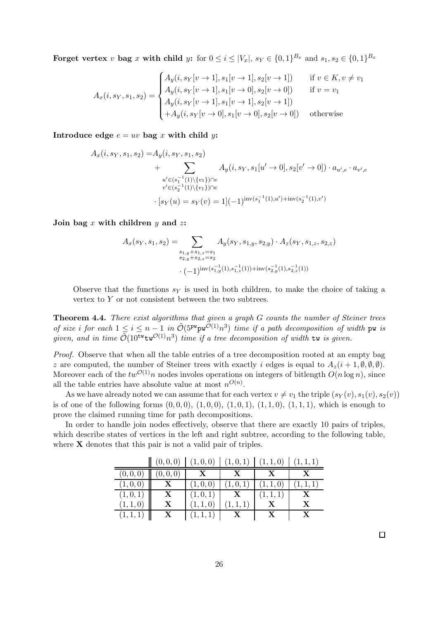Forget vertex v bag x with child y: for  $0 \le i \le |V_x|$ ,  $s_Y \in \{0,1\}^{B_x}$  and  $s_1, s_2 \in \{0,1\}^{B_x}$ 

$$
A_x(i, s_Y, s_1, s_2) = \begin{cases} A_y(i, s_Y[v \to 1], s_1[v \to 1], s_2[v \to 1]) & \text{if } v \in K, v \neq v_1 \\ A_y(i, s_Y[v \to 1], s_1[v \to 0], s_2[v \to 0]) & \text{if } v = v_1 \\ A_y(i, s_Y[v \to 1], s_1[v \to 1], s_2[v \to 1]) \\ +A_y(i, s_Y[v \to 0], s_1[v \to 0], s_2[v \to 0]) & \text{otherwise} \end{cases}
$$

Introduce edge  $e = uv$  bag x with child y:

$$
A_x(i, s_Y, s_1, s_2) = A_y(i, s_Y, s_1, s_2)
$$
  
+ 
$$
\sum_{\substack{u' \in (s_1^{-1}(1) \setminus \{v_1\}) \cap e \\ v' \in (s_2^{-1}(1) \setminus \{v_1\}) \cap e}} A_y(i, s_Y, s_1[u' \to 0], s_2[v' \to 0]) \cdot a_{u',e} \cdot a_{v',e}
$$
  
• 
$$
[s_Y(u) = s_Y(v) = 1](-1)^{\text{inv}(s_1^{-1}(1), u') + \text{inv}(s_2^{-1}(1), v')}
$$

Join bag  $x$  with children  $y$  and  $z$ :

$$
A_x(s_Y, s_1, s_2) = \sum_{\substack{s_{1,y}+s_{1,z}=s_1\\s_{2,y}+s_{2,z}=s_2}} A_y(s_Y, s_{1,y}, s_{2,y}) \cdot A_z(s_Y, s_{1,z}, s_{2,z})
$$

$$
\cdot (-1)^{\text{inv}(s_{1,y}^{-1}(1), s_{1,z}^{-1}(1)) + \text{inv}(s_{2,y}^{-1}(1), s_{2,z}^{-1}(1))}
$$

Observe that the functions  $s_Y$  is used in both children, to make the choice of taking a vertex to Y or not consistent between the two subtrees.

Theorem 4.4. There exist algorithms that given a graph G counts the number of Steiner trees of size i for each  $1 \leq i \leq n-1$  in  $\tilde{\mathcal{O}}(5^{\text{pv}} \text{pw}^{\mathcal{O}(1)} n^3)$  time if a path decomposition of width pw is given, and in time  $\tilde{\mathcal{O}}(10^{\text{tw}} \text{tw}^{\mathcal{O}(1)} n^3)$  time if a tree decomposition of width  $\text{tw is given}$ .

Proof. Observe that when all the table entries of a tree decomposition rooted at an empty bag z are computed, the number of Steiner trees with exactly i edges is equal to  $A_z(i + 1, \emptyset, \emptyset, \emptyset)$ . Moreover each of the  $tw^{\mathcal{O}(1)}n$  nodes involes operations on integers of bitlength  $O(n \log n)$ , since all the table entries have absolute value at most  $n^{O(n)}$ .

As we have already noted we can assume that for each vertex  $v \neq v_1$  the triple  $(s_Y(v), s_1(v), s_2(v))$ is of one of the following forms  $(0, 0, 0)$ ,  $(1, 0, 0)$ ,  $(1, 0, 1)$ ,  $(1, 1, 0)$ ,  $(1, 1, 1)$ , which is enough to prove the claimed running time for path decompositions.

In order to handle join nodes effectively, observe that there are exactly 10 pairs of triples, which describe states of vertices in the left and right subtree, according to the following table, where **X** denotes that this pair is not a valid pair of triples.

|                     | $(0,0,0)$ $(1,0,0)$ $(1,0,1)$ $(1,1,0)$ $(1,1,1)$ |                                |              |                                         |              |
|---------------------|---------------------------------------------------|--------------------------------|--------------|-----------------------------------------|--------------|
| $(0,0,0)$ $(0,0,0)$ |                                                   | $\mathbf{X}$                   | $\mathbf{X}$ |                                         |              |
| (1,0,0)             | $\mathbb{I}$ X                                    |                                |              | $(1,0,0)$ $(1,0,1)$ $(1,1,0)$ $(1,1,1)$ |              |
| (1,0,1)             | $\mathbf{X}$                                      | (1,0,1)                        | $\mathbf X$  | (1,1,1)                                 |              |
| (1, 1, 0)           | X                                                 | (1, 1, 0)                      | (1,1,1)      |                                         | $\mathbf{x}$ |
| (1,1,1)             | $\mathbf{X}$                                      | $\vert (1,1,1) \vert$ <b>X</b> |              | $\mathbf{X}$                            |              |

 $\Box$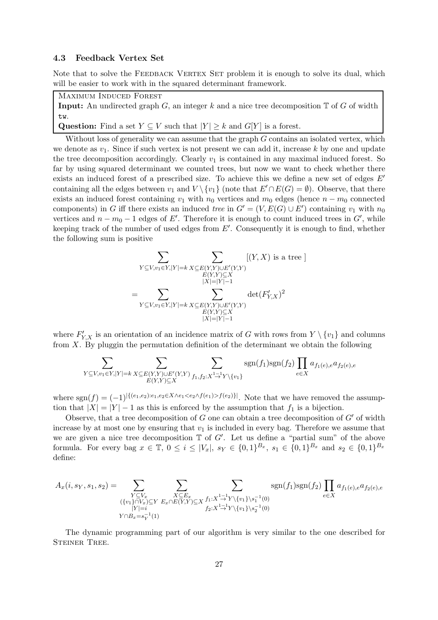#### 4.3 Feedback Vertex Set

Note that to solve the FEEDBACK VERTEX SET problem it is enough to solve its dual, which will be easier to work with in the squared determinant framework.

Maximum Induced Forest

**Input:** An undirected graph  $G$ , an integer k and a nice tree decomposition  $T$  of  $G$  of width tw.

Question: Find a set  $Y \subseteq V$  such that  $|Y| \geq k$  and  $G[Y]$  is a forest.

Without loss of generality we can assume that the graph  $G$  contains an isolated vertex, which we denote as  $v_1$ . Since if such vertex is not present we can add it, increase k by one and update the tree decomposition accordingly. Clearly  $v_1$  is contained in any maximal induced forest. So far by using squared determinant we counted trees, but now we want to check whether there exists an induced forest of a prescribed size. To achieve this we define a new set of edges  $E'$ containing all the edges between  $v_1$  and  $V \setminus \{v_1\}$  (note that  $E' \cap E(G) = \emptyset$ ). Observe, that there exists an induced forest containing  $v_1$  with  $n_0$  vertices and  $m_0$  edges (hence  $n - m_0$  connected components) in G iff there exists an induced tree in  $G' = (V, E(G) \cup E')$  containing  $v_1$  with  $n_0$ vertices and  $n - m_0 - 1$  edges of E'. Therefore it is enough to count induced trees in G', while keeping track of the number of used edges from  $E'$ . Consequently it is enough to find, whether the following sum is positive

$$
\sum_{Y \subseteq V, v_1 \in Y, |Y| = k} \sum_{X \subseteq E(Y,Y) \cup E'(Y,Y)} [(Y,X) \text{ is a tree }]
$$
  
= 
$$
\sum_{Y \subseteq V, v_1 \in Y, |Y| = k} \sum_{X \subseteq E(Y,Y) \cup E'(Y,Y) \atop E(Y,Y) \subseteq X} \det(F'_{Y,X})^2
$$
  
= 
$$
\sum_{Y \subseteq V, v_1 \in Y, |Y| = k} \sum_{X \subseteq E(Y,Y) \cup E'(Y,Y) \atop |X| = |Y| - 1} [(Y,X) \det(F'_{Y,X})^2]
$$

where  $F'_{Y,X}$  is an orientation of an incidence matrix of G with rows from  $Y \setminus \{v_1\}$  and columns from X. By pluggin the permutation definition of the determinant we obtain the following

$$
\sum_{Y \subseteq V, v_1 \in Y, |Y| = k} \sum_{\substack{X \subseteq E(Y,Y) \cup E'(Y,Y) \\ E(Y,Y) \subseteq X}} \sum_{f_1, f_2: X^{\frac{1-1}{2}} Y \setminus \{v_1\}} \operatorname{sgn}(f_1) \operatorname{sgn}(f_2) \prod_{e \in X} a_{f_1(e), e} a_{f_2(e), e}
$$

where  $sgn(f) = (-1)^{|\{(e_1,e_2):e_1,e_2 \in X \wedge e_1 \leq e_2 \wedge f(e_1) > f(e_2)\}|}$ . Note that we have removed the assumption that  $|X| = |Y| - 1$  as this is enforced by the assumption that  $f_1$  is a bijection.

Observe, that a tree decomposition of  $G$  one can obtain a tree decomposition of  $G'$  of width increase by at most one by ensuring that  $v_1$  is included in every bag. Therefore we assume that we are given a nice tree decomposition  $\mathbb T$  of  $G'$ . Let us define a "partial sum" of the above formula. For every bag  $x \in \mathbb{T}$ ,  $0 \le i \le |V_x|$ ,  $s_Y \in \{0,1\}^{B_x}$ ,  $s_1 \in \{0,1\}^{B_x}$  and  $s_2 \in \{0,1\}^{B_x}$ define:

$$
A_x(i, s_Y, s_1, s_2) = \sum_{\substack{Y \subseteq V_x \\ (\{v_1\} \cap V_x) \subseteq Y \\ |Y| = i \\ Y \cap B_x = s_Y^{-1}(1)}} \sum_{\substack{X \subseteq E_x \\ \sum_{(v_1, v_2) \subseteq X}} \sum_{\substack{f_1: X^{1-1}Y \\ f_2: X^{1-1}Y \setminus \{v_1\} \setminus s_1^{-1}(0)}} sgn(f_1) sgn(f_2) \prod_{e \in X} a_{f_1(e), e} a_{f_2(e), e}
$$

The dynamic programming part of our algorithm is very similar to the one described for STEINER TREE.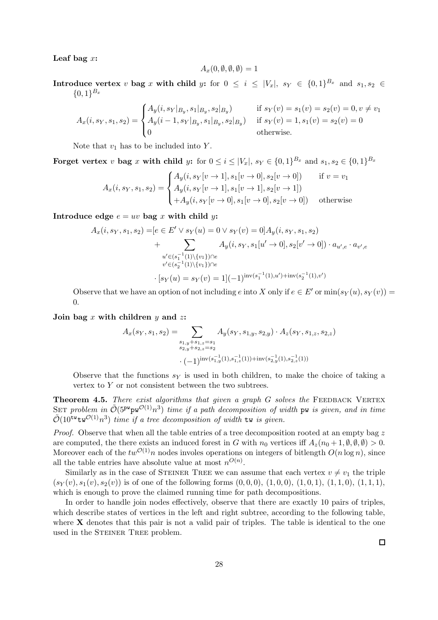Leaf bag  $x$ :

$$
A_x(0, \emptyset, \emptyset, \emptyset) = 1
$$

Introduce vertex v bag x with child y: for  $0 \leq i \leq |V_x|$ ,  $s_Y \in \{0,1\}^{B_x}$  and  $s_1, s_2 \in$  $\{0,1\}^{B_x}$ 

$$
A_x(i, s_Y, s_1, s_2) = \begin{cases} A_y(i, s_Y|_{B_y}, s_1|_{B_y}, s_2|_{B_y}) & \text{if } s_Y(v) = s_1(v) = s_2(v) = 0, v \neq v_1 \\ A_y(i - 1, s_Y|_{B_y}, s_1|_{B_y}, s_2|_{B_y}) & \text{if } s_Y(v) = 1, s_1(v) = s_2(v) = 0 \\ 0 & \text{otherwise.} \end{cases}
$$

Note that  $v_1$  has to be included into Y.

Forget vertex v bag x with child y: for  $0 \leq i \leq |V_x|$ ,  $s_Y \in \{0,1\}^{B_x}$  and  $s_1, s_2 \in \{0,1\}^{B_x}$ 

$$
A_x(i, s_Y, s_1, s_2) = \begin{cases} A_y(i, s_Y[v \to 1], s_1[v \to 0], s_2[v \to 0]) & \text{if } v = v_1 \\ A_y(i, s_Y[v \to 1], s_1[v \to 1], s_2[v \to 1]) \\ +A_y(i, s_Y[v \to 0], s_1[v \to 0], s_2[v \to 0]) & \text{otherwise} \end{cases}
$$

Introduce edge  $e = uv$  bag x with child y:

$$
A_x(i, s_Y, s_1, s_2) = [e \in E' \lor s_Y(u) = 0 \lor s_Y(v) = 0] A_y(i, s_Y, s_1, s_2)
$$
  
+ 
$$
\sum_{\substack{u' \in (s_1^{-1}(1) \setminus \{v_1\}) \cap e \\ v' \in (s_2^{-1}(1) \setminus \{v_1\}) \cap e}} A_y(i, s_Y, s_1[u' \to 0], s_2[v' \to 0]) \cdot a_{u', e} \cdot a_{v', e}
$$
  
• 
$$
[s_Y(u) = s_Y(v) = 1] (-1)^{\text{inv}(s_1^{-1}(1), u') + \text{inv}(s_2^{-1}(1), v')}
$$

Observe that we have an option of not including e into X only if  $e \in E'$  or  $\min(s_Y(u), s_Y(v)) =$ 0.

Join bag  $x$  with children  $y$  and  $z$ :

$$
A_x(s_Y, s_1, s_2) = \sum_{\substack{s_{1,y}+s_{1,z}=s_1\\s_{2,y}+s_{2,z}=s_2}} A_y(s_Y, s_{1,y}, s_{2,y}) \cdot A_z(s_Y, s_{1,z}, s_{2,z})
$$

$$
\cdot (-1)^{\text{inv}(s_{1,y}^{-1}(1), s_{1,z}^{-1}(1)) + \text{inv}(s_{2,y}^{-1}(1), s_{2,z}^{-1}(1))}
$$

Observe that the functions  $s_Y$  is used in both children, to make the choice of taking a vertex to Y or not consistent between the two subtrees.

**Theorem 4.5.** There exist algorithms that given a graph  $G$  solves the FEEDBACK VERTEX SET problem in  $\tilde{\mathcal{O}}(5^{pw}pw^{\mathcal{O}(1)}n^3)$  time if a path decomposition of width pw is given, and in time  $\tilde{\mathcal{O}}(10^{\texttt{tw}}\texttt{tw}^{\mathcal{O}(1)}n^3)$  time if a tree decomposition of width  $\texttt{tw}$  is given.

*Proof.* Observe that when all the table entries of a tree decomposition rooted at an empty bag z are computed, the there exists an induced forest in G with  $n_0$  vertices iff  $A_z(n_0+1, \emptyset, \emptyset, \emptyset) > 0$ . Moreover each of the  $tw^{\mathcal{O}(1)}$ n nodes involes operations on integers of bitlength  $O(n \log n)$ , since all the table entries have absolute value at most  $n^{O(n)}$ .

Similarly as in the case of STEINER TREE we can assume that each vertex  $v \neq v_1$  the triple  $(s_Y(v), s_1(v), s_2(v))$  is of one of the following forms  $(0, 0, 0), (1, 0, 0), (1, 0, 1), (1, 1, 0), (1, 1, 1),$ which is enough to prove the claimed running time for path decompositions.

In order to handle join nodes effectively, observe that there are exactly 10 pairs of triples, which describe states of vertices in the left and right subtree, according to the following table, where  $X$  denotes that this pair is not a valid pair of triples. The table is identical to the one used in the STEINER TREE problem.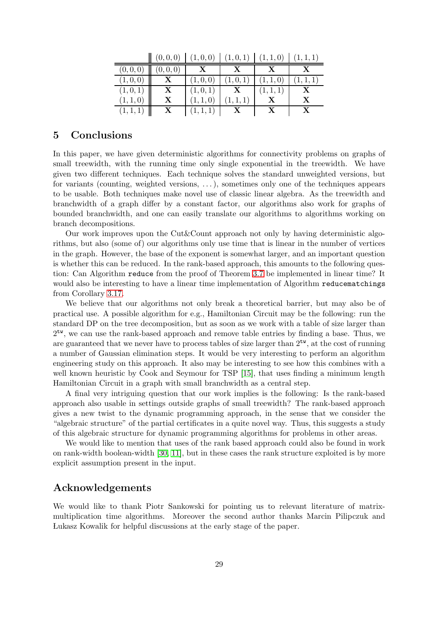|           | (0,0,0)      |           | $(1,0,0)$ $(1,0,1)$ $(1,1,0)$ $(1,1,1)$ |              |           |
|-----------|--------------|-----------|-----------------------------------------|--------------|-----------|
| (0,0,0)   | (0, 0, 0)    |           |                                         |              |           |
| (1,0,0)   | X            | (1,0,0)   | (1,0,1)                                 | (1,1,0)      | (1, 1, 1) |
| (1,0,1)   | $\mathbf{X}$ | (1,0,1)   |                                         | (1,1,1)      |           |
| (1, 1, 0) | $\mathbf X$  | (1, 1, 0) | 1, 1, 1)                                |              | X         |
| (1, 1, 1) | $\mathbf{X}$ | (1, 1, 1) |                                         | $\mathbf{X}$ |           |

## 5 Conclusions

In this paper, we have given deterministic algorithms for connectivity problems on graphs of small treewidth, with the running time only single exponential in the treewidth. We have given two different techniques. Each technique solves the standard unweighted versions, but for variants (counting, weighted versions, . . . ), sometimes only one of the techniques appears to be usable. Both techniques make novel use of classic linear algebra. As the treewidth and branchwidth of a graph differ by a constant factor, our algorithms also work for graphs of bounded branchwidth, and one can easily translate our algorithms to algorithms working on branch decompositions.

Our work improves upon the Cut&Count approach not only by having deterministic algorithms, but also (some of) our algorithms only use time that is linear in the number of vertices in the graph. However, the base of the exponent is somewhat larger, and an important question is whether this can be reduced. In the rank-based approach, this amounts to the following question: Can Algorithm reduce from the proof of Theorem [3.7](#page-10-1) be implemented in linear time? It would also be interesting to have a linear time implementation of Algorithm reducematchings from Corollary [3.17.](#page-20-3)

We believe that our algorithms not only break a theoretical barrier, but may also be of practical use. A possible algorithm for e.g., Hamiltonian Circuit may be the following: run the standard DP on the tree decomposition, but as soon as we work with a table of size larger than  $2<sup>tw</sup>$ , we can use the rank-based approach and remove table entries by finding a base. Thus, we are guaranteed that we never have to process tables of size larger than  $2^{tw}$ , at the cost of running a number of Gaussian elimination steps. It would be very interesting to perform an algorithm engineering study on this approach. It also may be interesting to see how this combines with a well known heuristic by Cook and Seymour for TSP [\[15\]](#page-30-15), that uses finding a minimum length Hamiltonian Circuit in a graph with small branchwidth as a central step.

A final very intriguing question that our work implies is the following: Is the rank-based approach also usable in settings outside graphs of small treewidth? The rank-based approach gives a new twist to the dynamic programming approach, in the sense that we consider the "algebraic structure" of the partial certificates in a quite novel way. Thus, this suggests a study of this algebraic structure for dynamic programming algorithms for problems in other areas.

We would like to mention that uses of the rank based approach could also be found in work on rank-width boolean-width [\[30,](#page-31-16) [11\]](#page-30-16), but in these cases the rank structure exploited is by more explicit assumption present in the input.

## Acknowledgements

We would like to thank Piotr Sankowski for pointing us to relevant literature of matrixmultiplication time algorithms. Moreover the second author thanks Marcin Pilipczuk and Lukasz Kowalik for helpful discussions at the early stage of the paper.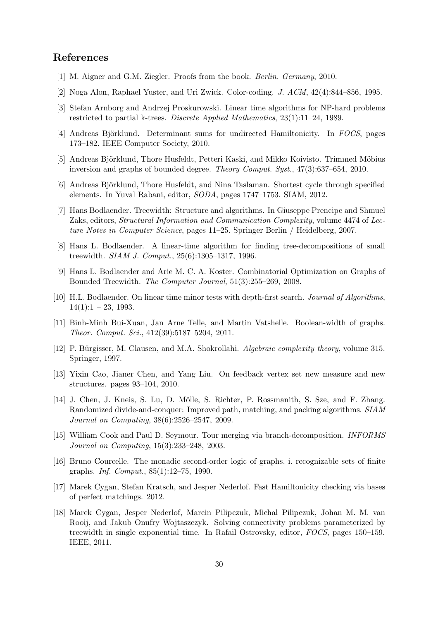## <span id="page-30-14"></span>References

- <span id="page-30-6"></span>[1] M. Aigner and G.M. Ziegler. Proofs from the book. Berlin. Germany, 2010.
- <span id="page-30-12"></span>[2] Noga Alon, Raphael Yuster, and Uri Zwick. Color-coding. J. ACM, 42(4):844–856, 1995.
- <span id="page-30-4"></span>[3] Stefan Arnborg and Andrzej Proskurowski. Linear time algorithms for NP-hard problems restricted to partial k-trees. Discrete Applied Mathematics, 23(1):11–24, 1989.
- <span id="page-30-10"></span>[4] Andreas Björklund. Determinant sums for undirected Hamiltonicity. In FOCS, pages 173–182. IEEE Computer Society, 2010.
- [5] Andreas Björklund, Thore Husfeldt, Petteri Kaski, and Mikko Koivisto. Trimmed Möbius inversion and graphs of bounded degree. Theory Comput. Syst., 47(3):637–654, 2010.
- <span id="page-30-5"></span><span id="page-30-0"></span>[6] Andreas Björklund, Thore Husfeldt, and Nina Taslaman. Shortest cycle through specified elements. In Yuval Rabani, editor, SODA, pages 1747–1753. SIAM, 2012.
- [7] Hans Bodlaender. Treewidth: Structure and algorithms. In Giuseppe Prencipe and Shmuel Zaks, editors, Structural Information and Communication Complexity, volume 4474 of Lecture Notes in Computer Science, pages 11–25. Springer Berlin / Heidelberg, 2007.
- <span id="page-30-1"></span>[8] Hans L. Bodlaender. A linear-time algorithm for finding tree-decompositions of small treewidth. SIAM J. Comput., 25(6):1305–1317, 1996.
- <span id="page-30-13"></span>[9] Hans L. Bodlaender and Arie M. C. A. Koster. Combinatorial Optimization on Graphs of Bounded Treewidth. The Computer Journal, 51(3):255–269, 2008.
- <span id="page-30-16"></span><span id="page-30-8"></span>[10] H.L. Bodlaender. On linear time minor tests with depth-first search. Journal of Algorithms,  $14(1):1 - 23, 1993.$
- <span id="page-30-17"></span>[11] Binh-Minh Bui-Xuan, Jan Arne Telle, and Martin Vatshelle. Boolean-width of graphs. Theor. Comput. Sci., 412(39):5187–5204, 2011.
- [12] P. Bürgisser, M. Clausen, and M.A. Shokrollahi. Algebraic complexity theory, volume 315. Springer, 1997.
- <span id="page-30-9"></span><span id="page-30-7"></span>[13] Yixin Cao, Jianer Chen, and Yang Liu. On feedback vertex set new measure and new structures. pages 93–104, 2010.
- [14] J. Chen, J. Kneis, S. Lu, D. Mölle, S. Richter, P. Rossmanith, S. Sze, and F. Zhang. Randomized divide-and-conquer: Improved path, matching, and packing algorithms. SIAM Journal on Computing, 38(6):2526–2547, 2009.
- <span id="page-30-15"></span>[15] William Cook and Paul D. Seymour. Tour merging via branch-decomposition. INFORMS Journal on Computing, 15(3):233–248, 2003.
- <span id="page-30-2"></span>[16] Bruno Courcelle. The monadic second-order logic of graphs. i. recognizable sets of finite graphs. Inf. Comput., 85(1):12–75, 1990.
- <span id="page-30-11"></span>[17] Marek Cygan, Stefan Kratsch, and Jesper Nederlof. Fast Hamiltonicity checking via bases of perfect matchings. 2012.
- <span id="page-30-3"></span>[18] Marek Cygan, Jesper Nederlof, Marcin Pilipczuk, Michal Pilipczuk, Johan M. M. van Rooij, and Jakub Onufry Wojtaszczyk. Solving connectivity problems parameterized by treewidth in single exponential time. In Rafail Ostrovsky, editor, FOCS, pages 150–159. IEEE, 2011.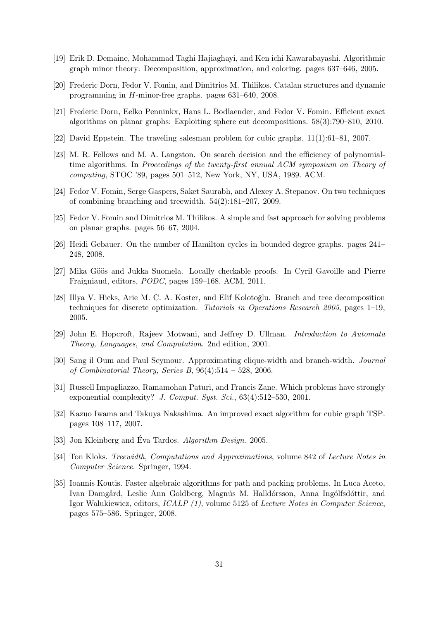- <span id="page-31-7"></span><span id="page-31-3"></span>[19] Erik D. Demaine, Mohammad Taghi Hajiaghayi, and Ken ichi Kawarabayashi. Algorithmic graph minor theory: Decomposition, approximation, and coloring. pages 637–646, 2005.
- <span id="page-31-13"></span>[20] Frederic Dorn, Fedor V. Fomin, and Dimitrios M. Thilikos. Catalan structures and dynamic programming in H-minor-free graphs. pages 631–640, 2008.
- <span id="page-31-8"></span>[21] Frederic Dorn, Eelko Penninkx, Hans L. Bodlaender, and Fedor V. Fomin. Efficient exact algorithms on planar graphs: Exploiting sphere cut decompositions. 58(3):790–810, 2010.
- <span id="page-31-6"></span>[22] David Eppstein. The traveling salesman problem for cubic graphs. 11(1):61–81, 2007.
- [23] M. R. Fellows and M. A. Langston. On search decision and the efficiency of polynomialtime algorithms. In Proceedings of the twenty-first annual ACM symposium on Theory of computing, STOC '89, pages 501–512, New York, NY, USA, 1989. ACM.
- <span id="page-31-11"></span>[24] Fedor V. Fomin, Serge Gaspers, Saket Saurabh, and Alexey A. Stepanov. On two techniques of combining branching and treewidth. 54(2):181–207, 2009.
- <span id="page-31-12"></span><span id="page-31-9"></span>[25] Fedor V. Fomin and Dimitrios M. Thilikos. A simple and fast approach for solving problems on planar graphs. pages 56–67, 2004.
- <span id="page-31-2"></span>[26] Heidi Gebauer. On the number of Hamilton cycles in bounded degree graphs. pages 241– 248, 2008.
- <span id="page-31-15"></span>[27] Mika Göös and Jukka Suomela. Locally checkable proofs. In Cyril Gavoille and Pierre Fraigniaud, editors, PODC, pages 159–168. ACM, 2011.
- [28] Illya V. Hicks, Arie M. C. A. Koster, and Elif Kolotoğlu. Branch and tree decomposition techniques for discrete optimization. Tutorials in Operations Research 2005, pages 1–19, 2005.
- <span id="page-31-16"></span><span id="page-31-4"></span>[29] John E. Hopcroft, Rajeev Motwani, and Jeffrey D. Ullman. Introduction to Automata Theory, Languages, and Computation. 2nd edition, 2001.
- <span id="page-31-1"></span>[30] Sang il Oum and Paul Seymour. Approximating clique-width and branch-width. Journal of Combinatorial Theory, Series B,  $96(4):514 - 528$ , 2006.
- [31] Russell Impagliazzo, Ramamohan Paturi, and Francis Zane. Which problems have strongly exponential complexity? J. Comput. Syst. Sci., 63(4):512-530, 2001.
- <span id="page-31-10"></span>[32] Kazuo Iwama and Takuya Nakashima. An improved exact algorithm for cubic graph TSP. pages 108–117, 2007.
- <span id="page-31-14"></span><span id="page-31-0"></span>[33] Jon Kleinberg and Éva Tardos.  $Alaorithm$  Design. 2005.
- [34] Ton Kloks. Treewidth, Computations and Approximations, volume 842 of Lecture Notes in Computer Science. Springer, 1994.
- <span id="page-31-5"></span>[35] Ioannis Koutis. Faster algebraic algorithms for path and packing problems. In Luca Aceto, Ivan Damgård, Leslie Ann Goldberg, Magnús M. Halldórsson, Anna Ingólfsdóttir, and Igor Walukiewicz, editors, ICALP (1), volume 5125 of Lecture Notes in Computer Science, pages 575–586. Springer, 2008.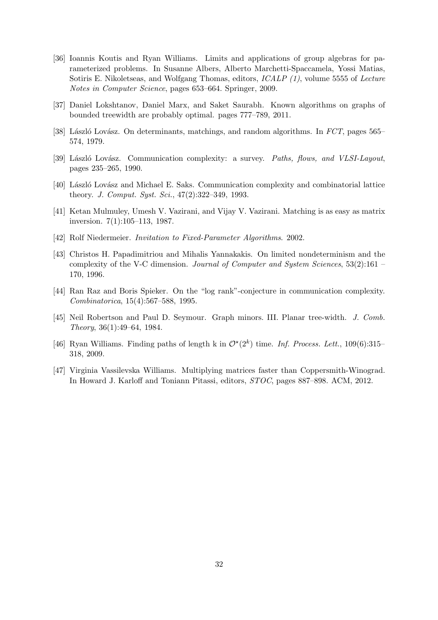- <span id="page-32-4"></span>[36] Ioannis Koutis and Ryan Williams. Limits and applications of group algebras for parameterized problems. In Susanne Albers, Alberto Marchetti-Spaccamela, Yossi Matias, Sotiris E. Nikoletseas, and Wolfgang Thomas, editors, ICALP (1), volume 5555 of Lecture Notes in Computer Science, pages 653–664. Springer, 2009.
- <span id="page-32-5"></span><span id="page-32-2"></span>[37] Daniel Lokshtanov, Daniel Marx, and Saket Saurabh. Known algorithms on graphs of bounded treewidth are probably optimal. pages 777–789, 2011.
- <span id="page-32-9"></span>[38] László Lovász. On determinants, matchings, and random algorithms. In FCT, pages  $565-$ 574, 1979.
- <span id="page-32-10"></span>[39] László Lovász. Communication complexity: a survey. Paths, flows, and VLSI-Layout, pages 235–265, 1990.
- <span id="page-32-3"></span>[40] László Lovász and Michael E. Saks. Communication complexity and combinatorial lattice theory. J. Comput. Syst. Sci., 47(2):322–349, 1993.
- [41] Ketan Mulmuley, Umesh V. Vazirani, and Vijay V. Vazirani. Matching is as easy as matrix inversion. 7(1):105–113, 1987.
- <span id="page-32-11"></span><span id="page-32-1"></span>[42] Rolf Niedermeier. Invitation to Fixed-Parameter Algorithms. 2002.
- [43] Christos H. Papadimitriou and Mihalis Yannakakis. On limited nondeterminism and the complexity of the V-C dimension. Journal of Computer and System Sciences, 53(2):161 – 170, 1996.
- <span id="page-32-8"></span><span id="page-32-0"></span>[44] Ran Raz and Boris Spieker. On the "log rank"-conjecture in communication complexity. Combinatorica, 15(4):567–588, 1995.
- [45] Neil Robertson and Paul D. Seymour. Graph minors. III. Planar tree-width. J. Comb. Theory, 36(1):49–64, 1984.
- <span id="page-32-6"></span>[46] Ryan Williams. Finding paths of length k in  $\mathcal{O}^{\star}(2^k)$  time. *Inf. Process. Lett.*, 109(6):315– 318, 2009.
- <span id="page-32-7"></span>[47] Virginia Vassilevska Williams. Multiplying matrices faster than Coppersmith-Winograd. In Howard J. Karloff and Toniann Pitassi, editors, STOC, pages 887–898. ACM, 2012.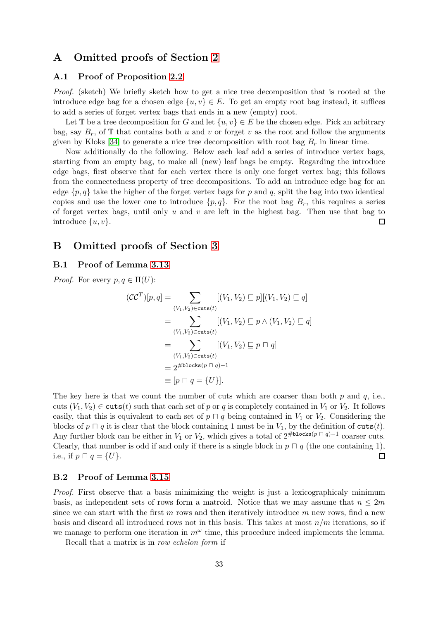## A Omitted proofs of Section [2](#page-7-0)

### A.1 Proof of Proposition [2.2](#page-8-1)

Proof. (sketch) We briefly sketch how to get a nice tree decomposition that is rooted at the introduce edge bag for a chosen edge  $\{u, v\} \in E$ . To get an empty root bag instead, it suffices to add a series of forget vertex bags that ends in a new (empty) root.

Let T be a tree decomposition for G and let  $\{u, v\} \in E$  be the chosen edge. Pick an arbitrary bag, say  $B_r$ , of  $\mathbb T$  that contains both u and v or forget v as the root and follow the arguments given by Kloks [\[34\]](#page-31-14) to generate a nice tree decomposition with root bag  $B_r$  in linear time.

Now additionally do the following. Below each leaf add a series of introduce vertex bags, starting from an empty bag, to make all (new) leaf bags be empty. Regarding the introduce edge bags, first observe that for each vertex there is only one forget vertex bag; this follows from the connectedness property of tree decompositions. To add an introduce edge bag for an edge  $\{p, q\}$  take the higher of the forget vertex bags for p and q, split the bag into two identical copies and use the lower one to introduce  $\{p, q\}$ . For the root bag  $B_r$ , this requires a series of forget vertex bags, until only  $u$  and  $v$  are left in the highest bag. Then use that bag to introduce  $\{u, v\}.$  $\Box$ 

## B Omitted proofs of Section [3](#page-8-0)

#### <span id="page-33-0"></span>B.1 Proof of Lemma [3.13](#page-19-0)

*Proof.* For every  $p, q \in \Pi(U)$ :

$$
(\mathcal{C}\mathcal{C}^T)[p, q] = \sum_{(V_1, V_2) \in \text{cuts}(t)} [(V_1, V_2) \sqsubseteq p] [(V_1, V_2) \sqsubseteq q]
$$
  
= 
$$
\sum_{(V_1, V_2) \in \text{cuts}(t)} [(V_1, V_2) \sqsubseteq p \land (V_1, V_2) \sqsubseteq q]
$$
  
= 
$$
\sum_{(V_1, V_2) \in \text{cuts}(t)} [(V_1, V_2) \sqsubseteq p \sqcap q]
$$
  
= 
$$
2^{\# \text{blocks}(p \sqcap q) - 1}
$$
  
= 
$$
[p \sqcap q = \{U\}].
$$

The key here is that we count the number of cuts which are coarser than both  $p$  and  $q$ , i.e., cuts  $(V_1, V_2) \in \text{cuts}(t)$  such that each set of p or q is completely contained in  $V_1$  or  $V_2$ . It follows easily, that this is equivalent to each set of p  $\sqcap$  q being contained in  $V_1$  or  $V_2$ . Considering the blocks of  $p \sqcap q$  it is clear that the block containing 1 must be in  $V_1$ , by the definition of cuts(*t*). Any further block can be either in  $V_1$  or  $V_2$ , which gives a total of  $2^{\#\text{blocks}(p \square q)-1}$  coarser cuts. Clearly, that number is odd if and only if there is a single block in  $p \sqcap q$  (the one containing 1), i.e., if  $p \sqcap q = \{U\}$ . i.e., if  $p \n□ q = \{U\}.$ 

#### <span id="page-33-1"></span>B.2 Proof of Lemma [3.15](#page-19-1)

Proof. First observe that a basis minimizing the weight is just a lexicographicaly minimum basis, as independent sets of rows form a matroid. Notice that we may assume that  $n \leq 2m$ since we can start with the first  $m$  rows and then iteratively introduce  $m$  new rows, find a new basis and discard all introduced rows not in this basis. This takes at most  $n/m$  iterations, so if we manage to perform one iteration in  $m^{\omega}$  time, this procedure indeed implements the lemma.

Recall that a matrix is in row echelon form if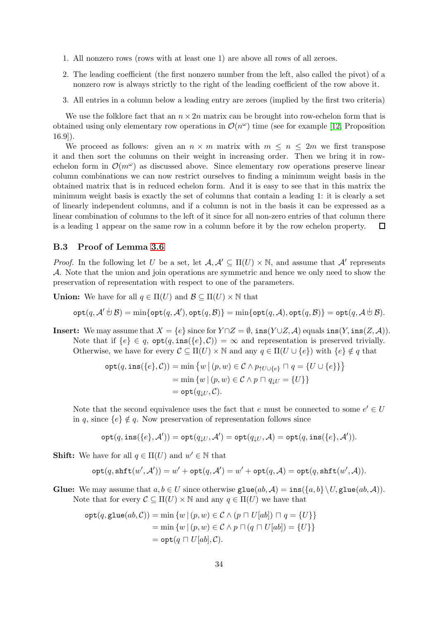- 1. All nonzero rows (rows with at least one 1) are above all rows of all zeroes.
- 2. The leading coefficient (the first nonzero number from the left, also called the pivot) of a nonzero row is always strictly to the right of the leading coefficient of the row above it.
- 3. All entries in a column below a leading entry are zeroes (implied by the first two criteria)

We use the folklore fact that an  $n \times 2n$  matrix can be brought into row-echelon form that is obtained using only elementary row operations in  $\mathcal{O}(n^{\omega})$  time (see for example [\[12,](#page-30-17) Proposition 16.9]).

We proceed as follows: given an  $n \times m$  matrix with  $m \leq n \leq 2m$  we first transpose it and then sort the columns on their weight in increasing order. Then we bring it in rowechelon form in  $\mathcal{O}(m^{\omega})$  as discussed above. Since elementary row operations preserve linear column combinations we can now restrict ourselves to finding a minimum weight basis in the obtained matrix that is in reduced echelon form. And it is easy to see that in this matrix the minimum weight basis is exactly the set of columns that contain a leading 1: it is clearly a set of linearly independent columns, and if a column is not in the basis it can be expressed as a linear combination of columns to the left of it since for all non-zero entries of that column there is a leading 1 appear on the same row in a column before it by the row echelon property.  $\Box$ 

### <span id="page-34-0"></span>B.3 Proof of Lemma [3.6](#page-10-2)

*Proof.* In the following let U be a set, let  $\mathcal{A}, \mathcal{A}' \subseteq \Pi(U) \times \mathbb{N}$ , and assume that  $\mathcal{A}'$  represents A. Note that the union and join operations are symmetric and hence we only need to show the preservation of representation with respect to one of the parameters.

Union: We have for all  $q \in \Pi(U)$  and  $\mathcal{B} \subseteq \Pi(U) \times \mathbb{N}$  that

$$
\operatorname{opt}(q, \mathcal{A}' \uplus \mathcal{B}) = \min\{\operatorname{opt}(q, \mathcal{A}'), \operatorname{opt}(q, \mathcal{B})\} = \min\{\operatorname{opt}(q, \mathcal{A}), \operatorname{opt}(q, \mathcal{B})\} = \operatorname{opt}(q, \mathcal{A} \uplus \mathcal{B}).
$$

**Insert:** We may assume that  $X = \{e\}$  since for  $Y \cap Z = \emptyset$ ,  $\text{ins}(Y \cup Z, \mathcal{A})$  equals  $\text{ins}(Y, \text{ins}(Z, \mathcal{A}))$ . Note that if  ${e} \in q$ ,  $opt(q, ins({e}, \mathcal{C})) = \infty$  and representation is preserved trivially. Otherwise, we have for every  $\mathcal{C} \subseteq \Pi(U) \times \mathbb{N}$  and any  $q \in \Pi(U \cup \{e\})$  with  $\{e\} \notin q$  that

$$
opt(q, ins(\lbrace e \rbrace, C)) = min \{ w \mid (p, w) \in C \land p_{\uparrow U \cup \lbrace e \rbrace} \sqcap q = \lbrace U \cup \lbrace e \rbrace \rbrace \}
$$
  
= min \{ w \mid (p, w) \in C \land p \sqcap q\_{\downarrow U} = \lbrace U \rbrace \}  
= opt(q\_{\downarrow U}, C).

Note that the second equivalence uses the fact that e must be connected to some  $e' \in U$ in q, since  $\{e\} \notin q$ . Now preservation of representation follows since

$$
\operatorname{opt}(q, \operatorname{ins}(\{e\}, \mathcal{A}')) = \operatorname{opt}(q_{\downarrow U}, \mathcal{A}') = \operatorname{opt}(q_{\downarrow U}, \mathcal{A}) = \operatorname{opt}(q, \operatorname{ins}(\{e\}, \mathcal{A}')).
$$

**Shift:** We have for all  $q \in \Pi(U)$  and  $w' \in \mathbb{N}$  that

$$
opt(q, \texttt{shft}(w', \mathcal{A}')) = w' + \texttt{opt}(q, \mathcal{A}') = w' + \texttt{opt}(q, \mathcal{A}) = \texttt{opt}(q, \texttt{shft}(w', \mathcal{A})).
$$

Glue: We may assume that  $a, b \in U$  since otherwise  $\texttt{glue}(ab, \mathcal{A}) = \texttt{ins}(\{a, b\} \setminus U, \texttt{glue}(ab, \mathcal{A}))$ . Note that for every  $\mathcal{C} \subseteq \Pi(U) \times \mathbb{N}$  and any  $q \in \Pi(U)$  we have that

$$
opt(q, \text{glue}(ab, C)) = \min \{w \mid (p, w) \in C \land (p \sqcap U[ab]) \sqcap q = \{U\}\}
$$

$$
= \min \{w \mid (p, w) \in C \land p \sqcap (q \sqcap U[ab]) = \{U\}\}
$$

$$
= opt(q \sqcap U[ab], C).
$$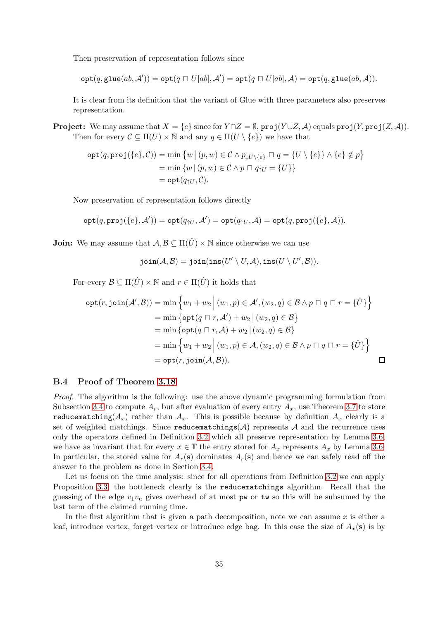Then preservation of representation follows since

$$
\operatorname{opt}(q, \operatorname{glue}(ab, \mathcal{A}')) = \operatorname{opt}(q \sqcap U[ab], \mathcal{A}') = \operatorname{opt}(q \sqcap U[ab], \mathcal{A}) = \operatorname{opt}(q, \operatorname{glue}(ab, \mathcal{A})).
$$

It is clear from its definition that the variant of Glue with three parameters also preserves representation.

**Project:** We may assume that  $X = \{e\}$  since for  $Y \cap Z = \emptyset$ , proj $(Y \cup Z, \mathcal{A})$  equals proj $(Y, \text{proj}(Z, \mathcal{A}))$ . Then for every  $\mathcal{C} \subseteq \Pi(U) \times \mathbb{N}$  and any  $q \in \Pi(U \setminus \{e\})$  we have that

$$
opt(q, \text{proj}(\{e\}, C)) = \min \{ w \mid (p, w) \in C \land p_{\downarrow U \setminus \{e\}} \sqcap q = \{U \setminus \{e\} \} \land \{e\} \notin p \}
$$
  
= 
$$
\min \{ w \mid (p, w) \in C \land p \sqcap q_{\uparrow U} = \{U\} \}
$$
  
= 
$$
\text{opt}(q_{\uparrow U}, C).
$$

Now preservation of representation follows directly

$$
\operatorname{opt}(q, \operatorname{proj}(\{e\}, \mathcal{A}')) = \operatorname{opt}(q_{\uparrow U}, \mathcal{A}') = \operatorname{opt}(q_{\uparrow U}, \mathcal{A}) = \operatorname{opt}(q, \operatorname{proj}(\{e\}, \mathcal{A})).
$$

**Join:** We may assume that  $\mathcal{A}, \mathcal{B} \subseteq \Pi(\hat{U}) \times \mathbb{N}$  since otherwise we can use

$$
\texttt{join}(\mathcal{A}, \mathcal{B}) = \texttt{join}(\texttt{ins}(U' \setminus U, \mathcal{A}), \texttt{ins}(U \setminus U', \mathcal{B})).
$$

For every  $\mathcal{B} \subseteq \Pi(\hat{U}) \times \mathbb{N}$  and  $r \in \Pi(\hat{U})$  it holds that

$$
opt(r, \text{join}(\mathcal{A}', \mathcal{B})) = \min \left\{ w_1 + w_2 \, \middle| \, (w_1, p) \in \mathcal{A}', (w_2, q) \in \mathcal{B} \land p \sqcap q \sqcap r = \{\hat{U}\}\right\}
$$
\n
$$
= \min \left\{ \text{opt}(q \sqcap r, \mathcal{A}') + w_2 \, \middle| \, (w_2, q) \in \mathcal{B}\right\}
$$
\n
$$
= \min \left\{ \text{opt}(q \sqcap r, \mathcal{A}) + w_2 \, \middle| \, (w_2, q) \in \mathcal{B}\right\}
$$
\n
$$
= \min \left\{ w_1 + w_2 \, \middle| \, (w_1, p) \in \mathcal{A}, (w_2, q) \in \mathcal{B} \land p \sqcap q \sqcap r = \{\hat{U}\}\right\}
$$
\n
$$
= \text{opt}(r, \text{join}(\mathcal{A}, \mathcal{B})).
$$

#### <span id="page-35-0"></span>B.4 Proof of Theorem [3.18](#page-20-2)

Proof. The algorithm is the following: use the above dynamic programming formulation from Subsection [3.4](#page-13-0) to compute  $A_r$ , but after evaluation of every entry  $A_x$ , use Theorem [3.7](#page-10-1) to store reducematching( $A_x$ ) rather than  $A_x$ . This is possible because by definition  $A_x$  clearly is a set of weighted matchings. Since reducematchings  $(A)$  represents A and the recurrence uses only the operators defined in Definition [3.2](#page-9-1) which all preserve representation by Lemma [3.6,](#page-10-2) we have as invariant that for every  $x \in \mathbb{T}$  the entry stored for  $A_x$  represents  $A_x$  by Lemma [3.6.](#page-10-2) In particular, the stored value for  $A_r(\mathbf{s})$  dominates  $A_r(\mathbf{s})$  and hence we can safely read off the answer to the problem as done in Section [3.4.](#page-13-0)

Let us focus on the time analysis: since for all operations from Definition [3.2](#page-9-1) we can apply Proposition [3.3,](#page-10-3) the bottleneck clearly is the reducematchings algorithm. Recall that the guessing of the edge  $v_1v_n$  gives overhead of at most pw or tw so this will be subsumed by the last term of the claimed running time.

In the first algorithm that is given a path decomposition, note we can assume  $x$  is either a leaf, introduce vertex, forget vertex or introduce edge bag. In this case the size of  $A_x(\mathbf{s})$  is by